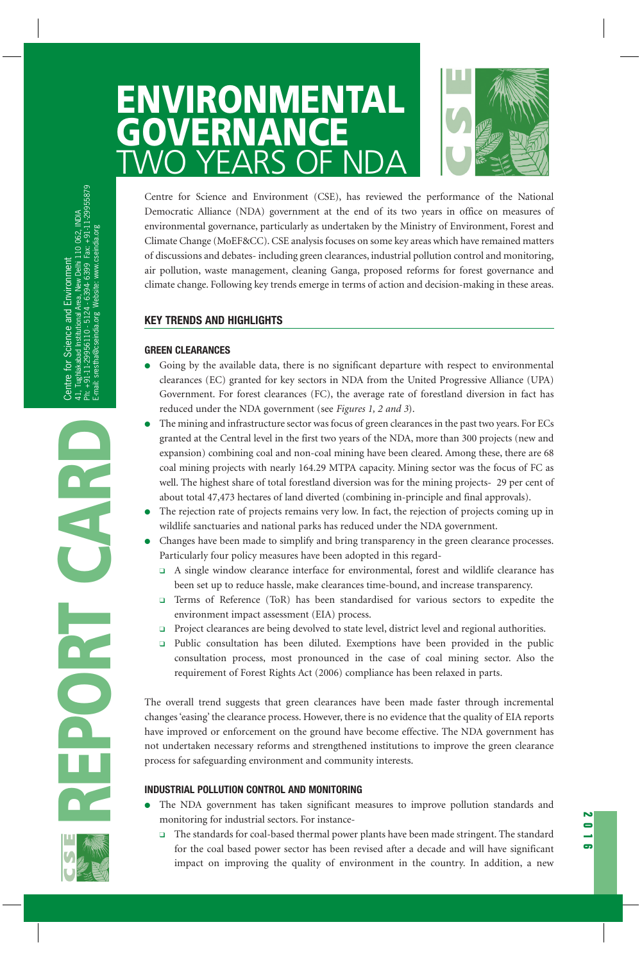# **ENVIRONMENTAL GOVERNANCE**<br>MAZO YEARS OF 1 TWO YEARS OF NDA



Centre for Science and Environment (CSE), has reviewed the performance of the National Democratic Alliance (NDA) government at the end of its two years in office on measures of environmental governance, particularly as undertaken by the Ministry of Environment, Forest and Climate Change (MoEF&CC). CSE analysis focuses on some key areas which have remained matters of discussions and debates- including green clearances, industrial pollution control and monitoring, air pollution, waste management, cleaning Ganga, proposed reforms for forest governance and climate change. Following key trends emerge in terms of action and decision-making in these areas.

# **KEY TRENDS AND HIGHLIGHTS**

# **GREEN CLEARANCES**

- Going by the available data, there is no significant departure with respect to environmental clearances (EC) granted for key sectors in NDA from the United Progressive Alliance (UPA) Government. For forest clearances (FC), the average rate of forestland diversion in fact has reduced under the NDA government (see *Figures 1, 2 and 3*).
- The mining and infrastructure sector was focus of green clearances in the past two years. For ECs granted at the Central level in the first two years of the NDA, more than 300 projects (new and expansion) combining coal and non-coal mining have been cleared. Among these, there are 68 coal mining projects with nearly 164.29 MTPA capacity. Mining sector was the focus of FC as well. The highest share of total forestland diversion was for the mining projects- 29 per cent of about total 47,473 hectares of land diverted (combining in-principle and final approvals).
- The rejection rate of projects remains very low. In fact, the rejection of projects coming up in wildlife sanctuaries and national parks has reduced under the NDA government.
- Changes have been made to simplify and bring transparency in the green clearance processes. Particularly four policy measures have been adopted in this regard-
	- ❑ A single window clearance interface for environmental, forest and wildlife clearance has been set up to reduce hassle, make clearances time-bound, and increase transparency.
	- ❑ Terms of Reference (ToR) has been standardised for various sectors to expedite the environment impact assessment (EIA) process.
	- ❑ Project clearances are being devolved to state level, district level and regional authorities.
	- ❑ Public consultation has been diluted. Exemptions have been provided in the public consultation process, most pronounced in the case of coal mining sector. Also the requirement of Forest Rights Act (2006) compliance has been relaxed in parts.

The overall trend suggests that green clearances have been made faster through incremental changes 'easing' the clearance process. However, there is no evidence that the quality of EIA reports have improved or enforcement on the ground have become effective. The NDA government has not undertaken necessary reforms and strengthened institutions to improve the green clearance process for safeguarding environment and community interests.

# **INDUSTRIAL POLLUTION CONTROL AND MONITORING**

- The NDA government has taken significant measures to improve pollution standards and monitoring for industrial sectors. For instance-
	- ❑ The standards for coal-based thermal power plants have been made stringent. The standard for the coal based power sector has been revised after a decade and will have significant impact on improving the quality of environment in the country. In addition, a new

**2016**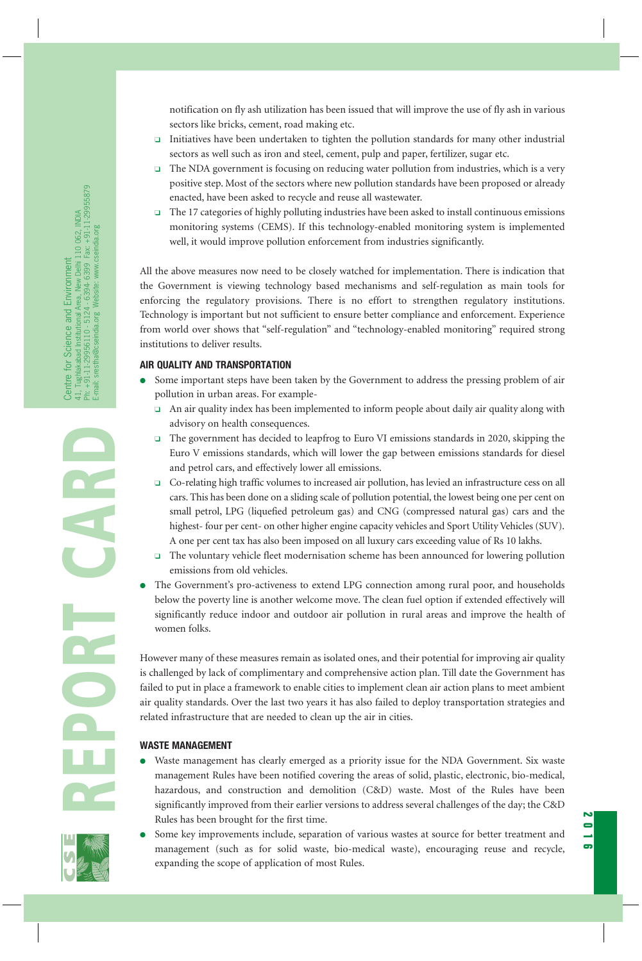notification on fly ash utilization has been issued that will improve the use of fly ash in various sectors like bricks, cement, road making etc.

- ❑ Initiatives have been undertaken to tighten the pollution standards for many other industrial sectors as well such as iron and steel, cement, pulp and paper, fertilizer, sugar etc.
- ❑ The NDA government is focusing on reducing water pollution from industries, which is a very positive step. Most of the sectors where new pollution standards have been proposed or already enacted, have been asked to recycle and reuse all wastewater.
- ❑ The 17 categories of highly polluting industries have been asked to install continuous emissions monitoring systems (CEMS). If this technology-enabled monitoring system is implemented well, it would improve pollution enforcement from industries significantly.

All the above measures now need to be closely watched for implementation. There is indication that the Government is viewing technology based mechanisms and self-regulation as main tools for enforcing the regulatory provisions. There is no effort to strengthen regulatory institutions. Technology is important but not sufficient to ensure better compliance and enforcement. Experience from world over shows that "self-regulation" and "technology-enabled monitoring" required strong institutions to deliver results.

# **AIR QUALITY AND TRANSPORTATION**

- Some important steps have been taken by the Government to address the pressing problem of air pollution in urban areas. For example-
	- ❑ An air quality index has been implemented to inform people about daily air quality along with advisory on health consequences.
	- ❑ The government has decided to leapfrog to Euro VI emissions standards in 2020, skipping the Euro V emissions standards, which will lower the gap between emissions standards for diesel and petrol cars, and effectively lower all emissions.
	- ❑ Co-relating high traffic volumes to increased air pollution, has levied an infrastructure cess on all cars. This has been done on a sliding scale of pollution potential, the lowest being one per cent on small petrol, LPG (liquefied petroleum gas) and CNG (compressed natural gas) cars and the highest- four per cent- on other higher engine capacity vehicles and Sport Utility Vehicles (SUV). A one per cent tax has also been imposed on all luxury cars exceeding value of Rs 10 lakhs.
	- ❑ The voluntary vehicle fleet modernisation scheme has been announced for lowering pollution emissions from old vehicles.
- The Government's pro-activeness to extend LPG connection among rural poor, and households below the poverty line is another welcome move. The clean fuel option if extended effectively will significantly reduce indoor and outdoor air pollution in rural areas and improve the health of women folks.

However many of these measures remain as isolated ones, and their potential for improving air quality is challenged by lack of complimentary and comprehensive action plan. Till date the Government has failed to put in place a framework to enable cities to implement clean air action plans to meet ambient air quality standards. Over the last two years it has also failed to deploy transportation strategies and related infrastructure that are needed to clean up the air in cities.

#### **WASTE MANAGEMENT**

- Waste management has clearly emerged as a priority issue for the NDA Government. Six waste management Rules have been notified covering the areas of solid, plastic, electronic, bio-medical, hazardous, and construction and demolition (C&D) waste. Most of the Rules have been significantly improved from their earlier versions to address several challenges of the day; the C&D Rules has been brought for the first time.
- Some key improvements include, separation of various wastes at source for better treatment and management (such as for solid waste, bio-medical waste), encouraging reuse and recycle, expanding the scope of application of most Rules.

**2016**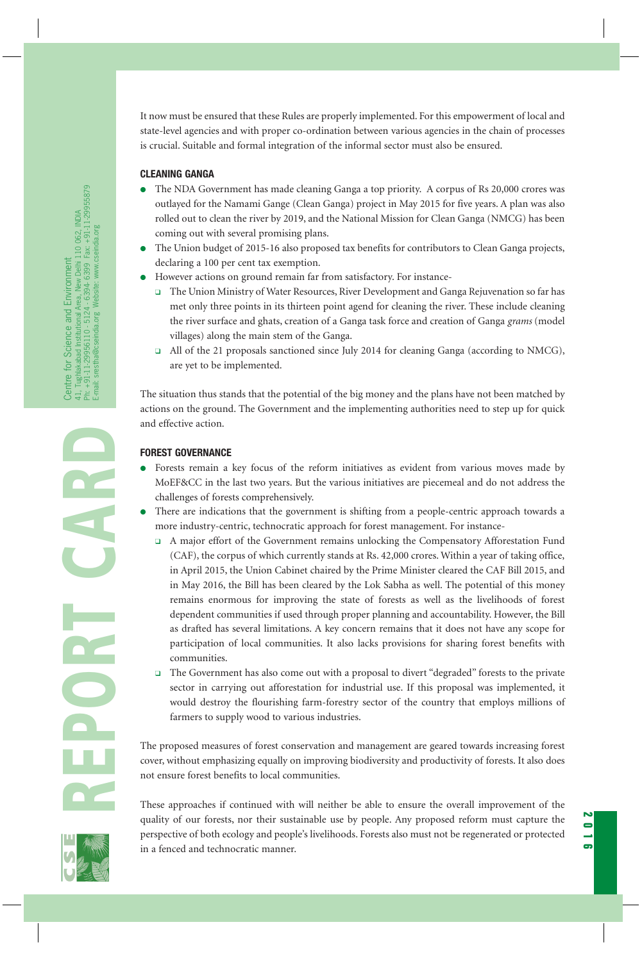It now must be ensured that these Rules are properly implemented. For this empowerment of local and state-level agencies and with proper co-ordination between various agencies in the chain of processes is crucial. Suitable and formal integration of the informal sector must also be ensured.

### **CLEANING GANGA**

- The NDA Government has made cleaning Ganga a top priority. A corpus of Rs 20,000 crores was outlayed for the Namami Gange (Clean Ganga) project in May 2015 for five years. A plan was also rolled out to clean the river by 2019, and the National Mission for Clean Ganga (NMCG) has been coming out with several promising plans.
- The Union budget of 2015-16 also proposed tax benefits for contributors to Clean Ganga projects, declaring a 100 per cent tax exemption.
- However actions on ground remain far from satisfactory. For instance-
	- ❑ The Union Ministry of Water Resources, River Development and Ganga Rejuvenation so far has met only three points in its thirteen point agend for cleaning the river. These include cleaning the river surface and ghats, creation of a Ganga task force and creation of Ganga *grams* (model villages) along the main stem of the Ganga.
	- ❑ All of the 21 proposals sanctioned since July 2014 for cleaning Ganga (according to NMCG), are yet to be implemented.

The situation thus stands that the potential of the big money and the plans have not been matched by actions on the ground. The Government and the implementing authorities need to step up for quick and effective action.

# **FOREST GOVERNANCE**

- Forests remain a key focus of the reform initiatives as evident from various moves made by MoEF&CC in the last two years. But the various initiatives are piecemeal and do not address the challenges of forests comprehensively.
- There are indications that the government is shifting from a people-centric approach towards a more industry-centric, technocratic approach for forest management. For instance-
	- ❑ A major effort of the Government remains unlocking the Compensatory Afforestation Fund (CAF), the corpus of which currently stands at Rs. 42,000 crores. Within a year of taking office, in April 2015, the Union Cabinet chaired by the Prime Minister cleared the CAF Bill 2015, and in May 2016, the Bill has been cleared by the Lok Sabha as well. The potential of this money remains enormous for improving the state of forests as well as the livelihoods of forest dependent communities if used through proper planning and accountability. However, the Bill as drafted has several limitations. A key concern remains that it does not have any scope for participation of local communities. It also lacks provisions for sharing forest benefits with communities.
	- ❑ The Government has also come out with a proposal to divert "degraded" forests to the private sector in carrying out afforestation for industrial use. If this proposal was implemented, it would destroy the flourishing farm-forestry sector of the country that employs millions of farmers to supply wood to various industries.

The proposed measures of forest conservation and management are geared towards increasing forest cover, without emphasizing equally on improving biodiversity and productivity of forests. It also does not ensure forest benefits to local communities.

These approaches if continued with will neither be able to ensure the overall improvement of the quality of our forests, nor their sustainable use by people. Any proposed reform must capture the perspective of both ecology and people's livelihoods. Forests also must not be regenerated or protected in a fenced and technocratic manner.

**2016**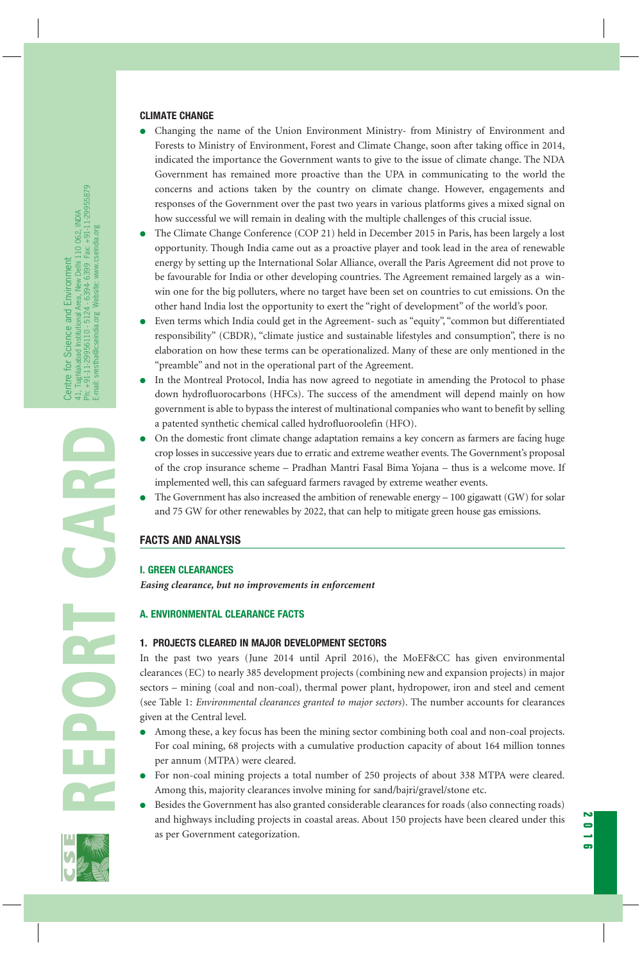#### **CLIMATE CHANGE**

- Changing the name of the Union Environment Ministry- from Ministry of Environment and Forests to Ministry of Environment, Forest and Climate Change, soon after taking office in 2014, indicated the importance the Government wants to give to the issue of climate change. The NDA Government has remained more proactive than the UPA in communicating to the world the concerns and actions taken by the country on climate change. However, engagements and responses of the Government over the past two years in various platforms gives a mixed signal on how successful we will remain in dealing with the multiple challenges of this crucial issue.
- The Climate Change Conference (COP 21) held in December 2015 in Paris, has been largely a lost opportunity. Though India came out as a proactive player and took lead in the area of renewable energy by setting up the International Solar Alliance, overall the Paris Agreement did not prove to be favourable for India or other developing countries. The Agreement remained largely as a winwin one for the big polluters, where no target have been set on countries to cut emissions. On the other hand India lost the opportunity to exert the "right of development" of the world's poor.
- Even terms which India could get in the Agreement- such as "equity", "common but differentiated responsibility" (CBDR), "climate justice and sustainable lifestyles and consumption", there is no elaboration on how these terms can be operationalized. Many of these are only mentioned in the "preamble" and not in the operational part of the Agreement.
- In the Montreal Protocol, India has now agreed to negotiate in amending the Protocol to phase down hydrofluorocarbons (HFCs). The success of the amendment will depend mainly on how government is able to bypass the interest of multinational companies who want to benefit by selling a patented synthetic chemical called hydrofluoroolefin (HFO).
- On the domestic front climate change adaptation remains a key concern as farmers are facing huge crop losses in successive years due to erratic and extreme weather events. The Government's proposal of the crop insurance scheme – Pradhan Mantri Fasal Bima Yojana – thus is a welcome move. If implemented well, this can safeguard farmers ravaged by extreme weather events.
- The Government has also increased the ambition of renewable energy  $-100$  gigawatt (GW) for solar and 75 GW for other renewables by 2022, that can help to mitigate green house gas emissions.

# **FACTS AND ANALYSIS**

#### **I. GREEN CLEARANCES**

*Easing clearance, but no improvements in enforcement*

# **A. ENVIRONMENTAL CLEARANCE FACTS**

#### **1. PROJECTS CLEARED IN MAJOR DEVELOPMENT SECTORS**

In the past two years (June 2014 until April 2016), the MoEF&CC has given environmental clearances (EC) to nearly 385 development projects (combining new and expansion projects) in major sectors – mining (coal and non-coal), thermal power plant, hydropower, iron and steel and cement (see Table 1: *Environmental clearances granted to major sectors*). The number accounts for clearances given at the Central level.

- Among these, a key focus has been the mining sector combining both coal and non-coal projects. For coal mining, 68 projects with a cumulative production capacity of about 164 million tonnes per annum (MTPA) were cleared.
- For non-coal mining projects a total number of 250 projects of about 338 MTPA were cleared. Among this, majority clearances involve mining for sand/bajri/gravel/stone etc.
- Besides the Government has also granted considerable clearances for roads (also connecting roads) and highways including projects in coastal areas. About 150 projects have been cleared under this as per Government categorization.



**REPORT CARD**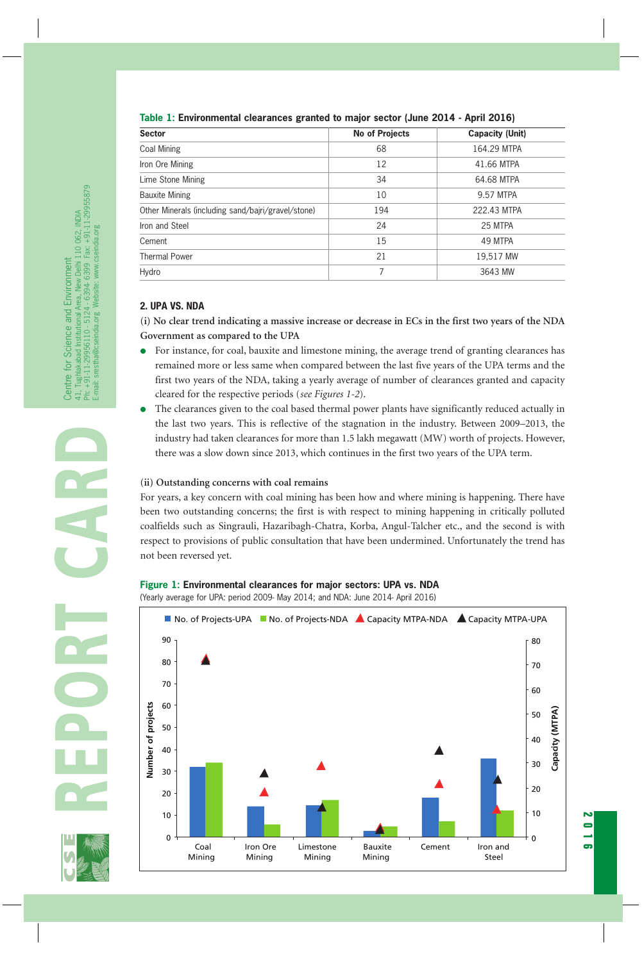# **Table 1: Environmental clearances granted to major sector (June 2014 - April 2016)**

| <b>Sector</b>                                      | No of Projects | <b>Capacity (Unit)</b> |  |
|----------------------------------------------------|----------------|------------------------|--|
| Coal Mining                                        | 68             | 164.29 MTPA            |  |
| Iron Ore Mining                                    | 12             | 41.66 MTPA             |  |
| Lime Stone Mining                                  | 34             | 64.68 MTPA             |  |
| <b>Bauxite Mining</b>                              | 10             | 9.57 MTPA              |  |
| Other Minerals (including sand/bajri/gravel/stone) | 194            | 222.43 MTPA            |  |
| Iron and Steel                                     | 24             | 25 MTPA                |  |
| Cement                                             | 15             | 49 MTPA                |  |
| <b>Thermal Power</b>                               | 21             | 19,517 MW              |  |
| Hydro                                              | 7              | 3643 MW                |  |
|                                                    |                |                        |  |

# **2. UPA VS. NDA**

**(i) No clear trend indicating a massive increase or decrease in ECs in the first two years of the NDA Government as compared to the UPA**

- For instance, for coal, bauxite and limestone mining, the average trend of granting clearances has remained more or less same when compared between the last five years of the UPA terms and the first two years of the NDA, taking a yearly average of number of clearances granted and capacity cleared for the respective periods (*see Figures 1-2*).
- The clearances given to the coal based thermal power plants have significantly reduced actually in the last two years. This is reflective of the stagnation in the industry. Between 2009–2013, the industry had taken clearances for more than 1.5 lakh megawatt (MW) worth of projects. However, there was a slow down since 2013, which continues in the first two years of the UPA term.

# **(ii) Outstanding concerns with coal remains**

For years, a key concern with coal mining has been how and where mining is happening. There have been two outstanding concerns; the first is with respect to mining happening in critically polluted coalfields such as Singrauli, Hazaribagh-Chatra, Korba, Angul-Talcher etc., and the second is with respect to provisions of public consultation that have been undermined. Unfortunately the trend has not been reversed yet.

# **Figure 1: Environmental clearances for major sectors: UPA vs. NDA**

(Yearly average for UPA: period 2009- May 2014; and NDA: June 2014- April 2016)



**2016**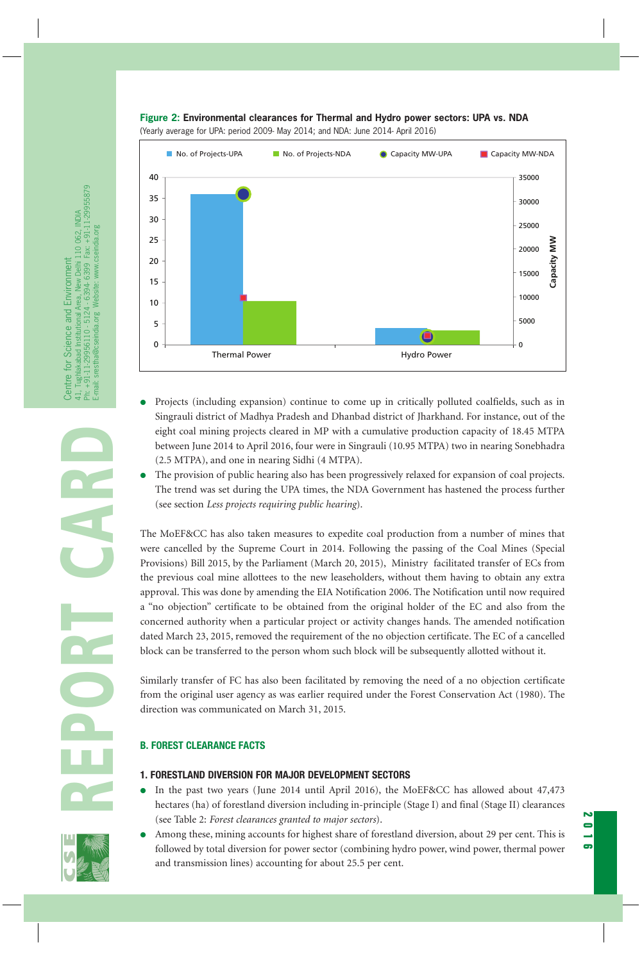

**Figure 2: Environmental clearances for Thermal and Hydro power sectors: UPA vs. NDA**  (Yearly average for UPA: period 2009- May 2014; and NDA: June 2014- April 2016)

- Projects (including expansion) continue to come up in critically polluted coalfields, such as in Singrauli district of Madhya Pradesh and Dhanbad district of Jharkhand. For instance, out of the eight coal mining projects cleared in MP with a cumulative production capacity of 18.45 MTPA between June 2014 to April 2016, four were in Singrauli (10.95 MTPA) two in nearing Sonebhadra (2.5 MTPA), and one in nearing Sidhi (4 MTPA).
- The provision of public hearing also has been progressively relaxed for expansion of coal projects. The trend was set during the UPA times, the NDA Government has hastened the process further (see section *Less projects requiring public hearing*).

The MoEF&CC has also taken measures to expedite coal production from a number of mines that were cancelled by the Supreme Court in 2014. Following the passing of the Coal Mines (Special Provisions) Bill 2015, by the Parliament (March 20, 2015), Ministry facilitated transfer of ECs from the previous coal mine allottees to the new leaseholders, without them having to obtain any extra approval. This was done by amending the EIA Notification 2006. The Notification until now required a "no objection" certificate to be obtained from the original holder of the EC and also from the concerned authority when a particular project or activity changes hands. The amended notification dated March 23, 2015, removed the requirement of the no objection certificate. The EC of a cancelled block can be transferred to the person whom such block will be subsequently allotted without it.

Similarly transfer of FC has also been facilitated by removing the need of a no objection certificate from the original user agency as was earlier required under the Forest Conservation Act (1980). The direction was communicated on March 31, 2015.

# **B. FOREST CLEARANCE FACTS**

# **1. FORESTLAND DIVERSION FOR MAJOR DEVELOPMENT SECTORS**

- In the past two years (June 2014 until April 2016), the MoEF&CC has allowed about 47,473 hectares (ha) of forestland diversion including in-principle (Stage I) and final (Stage II) clearances (see Table 2: *Forest clearances granted to major sectors*).
- Among these, mining accounts for highest share of forestland diversion, about 29 per cent. This is followed by total diversion for power sector (combining hydro power, wind power, thermal power and transmission lines) accounting for about 25.5 per cent.

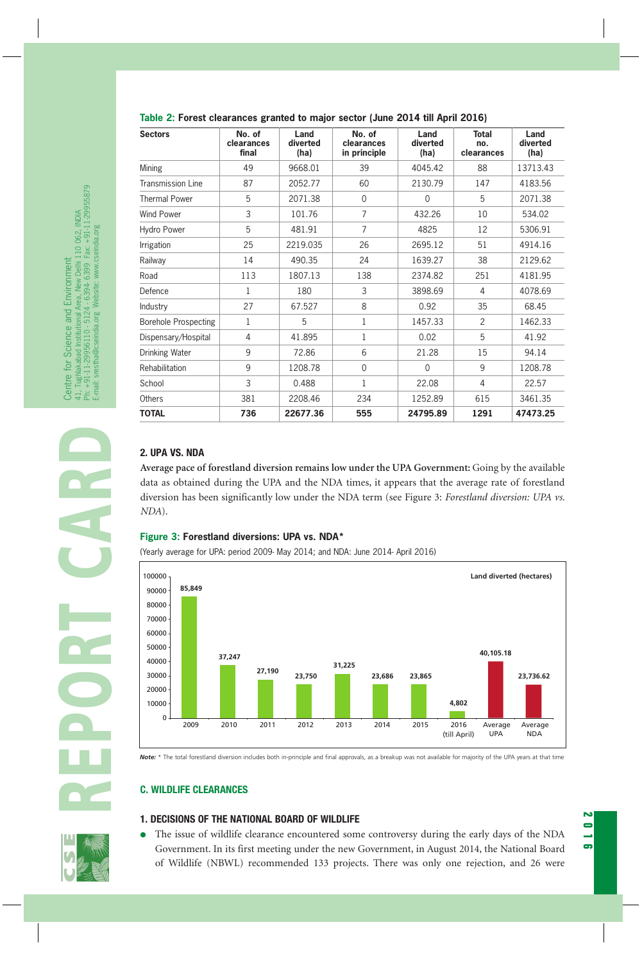| <b>Sectors</b>              | No. of<br>clearances<br>final | Land<br>diverted<br>(ha) | No. of<br>clearances<br>in principle | Land<br>diverted<br>(ha) | <b>Total</b><br>no.<br>clearances | Land<br>diverted<br>(ha) |
|-----------------------------|-------------------------------|--------------------------|--------------------------------------|--------------------------|-----------------------------------|--------------------------|
| Mining                      | 49                            | 9668.01                  | 39                                   | 4045.42                  | 88                                | 13713.43                 |
| <b>Transmission Line</b>    | 87                            | 2052.77                  | 60                                   | 2130.79                  | 147                               | 4183.56                  |
| <b>Thermal Power</b>        | 5                             | 2071.38                  | $\overline{0}$                       | $\mathbf{0}$             | 5                                 | 2071.38                  |
| Wind Power                  | 3                             | 101.76                   | 7                                    | 432.26                   | 10                                | 534.02                   |
| Hydro Power                 | 5                             | 481.91                   | $\overline{7}$                       | 4825                     | 12                                | 5306.91                  |
| Irrigation                  | 25                            | 2219.035                 | 26                                   | 2695.12                  | 51                                | 4914.16                  |
| Railway                     | 14                            | 490.35                   | 24                                   | 1639.27                  | 38                                | 2129.62                  |
| Road                        | 113                           | 1807.13                  | 138                                  | 2374.82                  | 251                               | 4181.95                  |
| Defence                     | $\mathbf{1}$                  | 180                      | 3                                    | 3898.69                  | 4                                 | 4078.69                  |
| Industry                    | 27                            | 67.527                   | 8                                    | 0.92                     | 35                                | 68.45                    |
| <b>Borehole Prospecting</b> | 1                             | 5                        | $\mathbf{1}$                         | 1457.33                  | $\overline{2}$                    | 1462.33                  |
| Dispensary/Hospital         | 4                             | 41.895                   | $\mathbf{1}$                         | 0.02                     | 5                                 | 41.92                    |
| Drinking Water              | 9                             | 72.86                    | 6                                    | 21.28                    | 15                                | 94.14                    |
| Rehabilitation              | 9                             | 1208.78                  | $\Omega$                             | $\Omega$                 | 9                                 | 1208.78                  |
| School                      | 3                             | 0.488                    | $\mathbf{1}$                         | 22.08                    | 4                                 | 22.57                    |
| Others                      | 381                           | 2208.46                  | 234                                  | 1252.89                  | 615                               | 3461.35                  |
| <b>TOTAL</b>                | 736                           | 22677.36                 | 555                                  | 24795.89                 | 1291                              | 47473.25                 |

#### **Table 2: Forest clearances granted to major sector (June 2014 till April 2016)**

**Average pace of forestland diversion remains low under the UPA Government:** Going by the available data as obtained during the UPA and the NDA times, it appears that the average rate of forestland diversion has been significantly low under the NDA term (see Figure 3: *Forestland diversion: UPA vs. NDA*).

#### **Figure 3: Forestland diversions: UPA vs. NDA\***





*Note:* \* The total forestland diversion includes both in-principle and final approvals, as a breakup was not available for majority of the UPA years at that time

#### **C. WILDLIFE CLEARANCES**

# **1. DECISIONS OF THE NATIONAL BOARD OF WILDLIFE**

● The issue of wildlife clearance encountered some controversy during the early days of the NDA Government. In its first meeting under the new Government, in August 2014, the National Board of Wildlife (NBWL) recommended 133 projects. There was only one rejection, and 26 were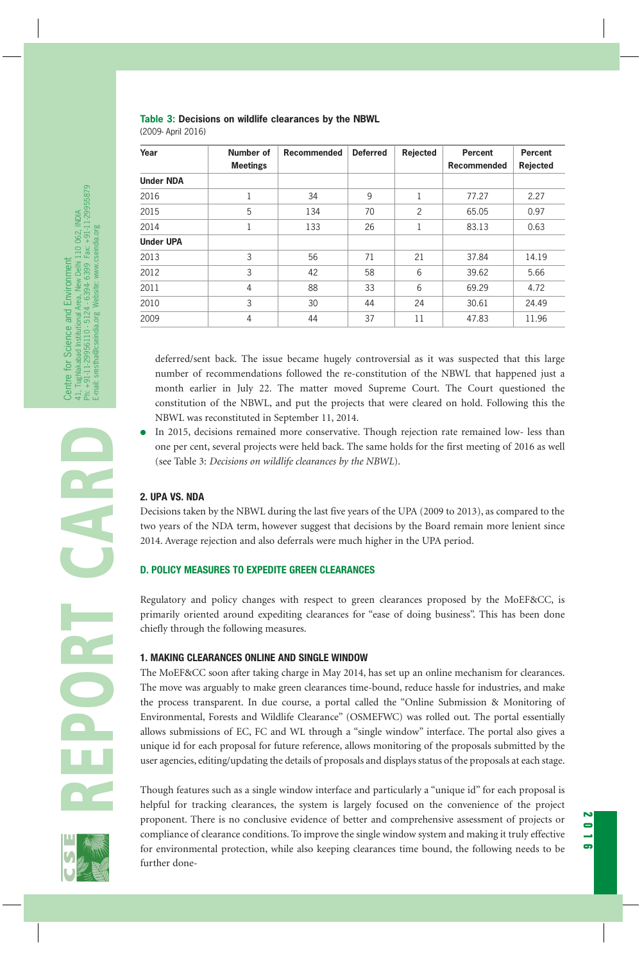# **Table 3: Decisions on wildlife clearances by the NBWL**

| Year             | Number of<br><b>Meetings</b> | Recommended | <b>Deferred</b> | Rejected       | <b>Percent</b><br><b>Recommended</b> | Percent<br>Rejected |
|------------------|------------------------------|-------------|-----------------|----------------|--------------------------------------|---------------------|
| <b>Under NDA</b> |                              |             |                 |                |                                      |                     |
| 2016             |                              | 34          | 9               |                | 77.27                                | 2.27                |
| 2015             | 5                            | 134         | 70              | $\overline{2}$ | 65.05                                | 0.97                |
| 2014             | 1                            | 133         | 26              |                | 83.13                                | 0.63                |
| <b>Under UPA</b> |                              |             |                 |                |                                      |                     |
| 2013             | 3                            | 56          | 71              | 21             | 37.84                                | 14.19               |
| 2012             | 3                            | 42          | 58              | 6              | 39.62                                | 5.66                |
| 2011             | 4                            | 88          | 33              | 6              | 69.29                                | 4.72                |
| 2010             | 3                            | 30          | 44              | 24             | 30.61                                | 24.49               |
| 2009             | 4                            | 44          | 37              | 11             | 47.83                                | 11.96               |

(2009- April 2016)

deferred/sent back. The issue became hugely controversial as it was suspected that this large number of recommendations followed the re-constitution of the NBWL that happened just a month earlier in July 22. The matter moved Supreme Court. The Court questioned the constitution of the NBWL, and put the projects that were cleared on hold. Following this the NBWL was reconstituted in September 11, 2014.

In 2015, decisions remained more conservative. Though rejection rate remained low- less than one per cent, several projects were held back. The same holds for the first meeting of 2016 as well (see Table 3: *Decisions on wildlife clearances by the NBWL*).

# **2. UPA VS. NDA**

Decisions taken by the NBWL during the last five years of the UPA (2009 to 2013), as compared to the two years of the NDA term, however suggest that decisions by the Board remain more lenient since 2014. Average rejection and also deferrals were much higher in the UPA period.

# **D. POLICY MEASURES TO EXPEDITE GREEN CLEARANCES**

Regulatory and policy changes with respect to green clearances proposed by the MoEF&CC, is primarily oriented around expediting clearances for "ease of doing business". This has been done chiefly through the following measures.

# **1. MAKING CLEARANCES ONLINE AND SINGLE WINDOW**

The MoEF&CC soon after taking charge in May 2014, has set up an online mechanism for clearances. The move was arguably to make green clearances time-bound, reduce hassle for industries, and make the process transparent. In due course, a portal called the "Online Submission & Monitoring of Environmental, Forests and Wildlife Clearance" (OSMEFWC) was rolled out. The portal essentially allows submissions of EC, FC and WL through a "single window" interface. The portal also gives a unique id for each proposal for future reference, allows monitoring of the proposals submitted by the user agencies, editing/updating the details of proposals and displays status of the proposals at each stage.

Though features such as a single window interface and particularly a "unique id" for each proposal is helpful for tracking clearances, the system is largely focused on the convenience of the project proponent. There is no conclusive evidence of better and comprehensive assessment of projects or compliance of clearance conditions. To improve the single window system and making it truly effective for environmental protection, while also keeping clearances time bound, the following needs to be further done-

**2016**

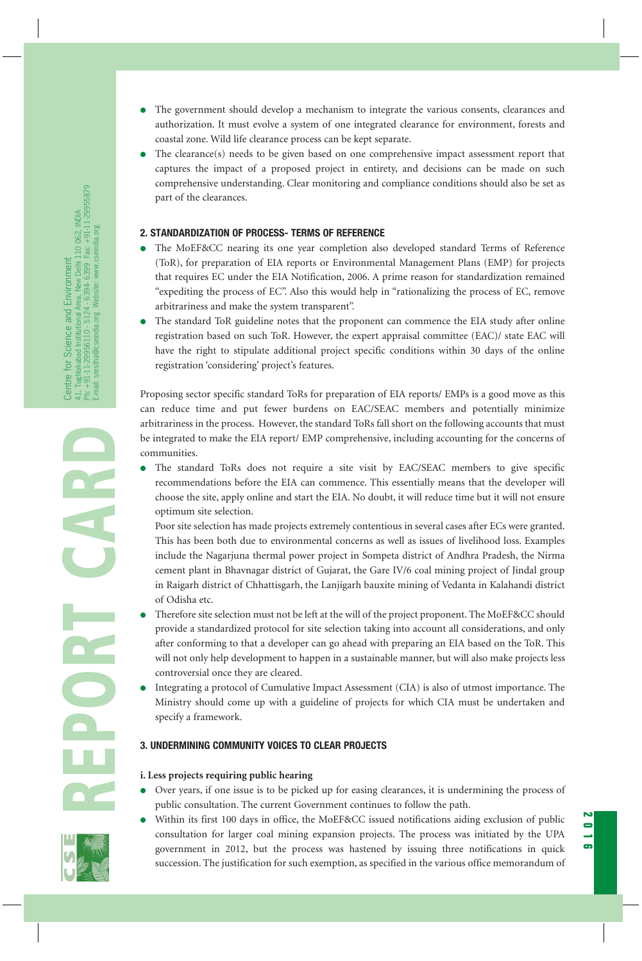- The government should develop a mechanism to integrate the various consents, clearances and authorization. It must evolve a system of one integrated clearance for environment, forests and coastal zone. Wild life clearance process can be kept separate.
- The clearance(s) needs to be given based on one comprehensive impact assessment report that captures the impact of a proposed project in entirety, and decisions can be made on such comprehensive understanding. Clear monitoring and compliance conditions should also be set as part of the clearances.

### **2. STANDARDIZATION OF PROCESS- TERMS OF REFERENCE**

- The MoEF&CC nearing its one year completion also developed standard Terms of Reference (ToR), for preparation of EIA reports or Environmental Management Plans (EMP) for projects that requires EC under the EIA Notification, 2006. A prime reason for standardization remained "expediting the process of EC". Also this would help in "rationalizing the process of EC, remove arbitrariness and make the system transparent".
- The standard ToR guideline notes that the proponent can commence the EIA study after online registration based on such ToR. However, the expert appraisal committee (EAC)/ state EAC will have the right to stipulate additional project specific conditions within 30 days of the online registration 'considering' project's features.

Proposing sector specific standard ToRs for preparation of EIA reports/ EMPs is a good move as this can reduce time and put fewer burdens on EAC/SEAC members and potentially minimize arbitrariness in the process. However, the standard ToRs fall short on the following accounts that must be integrated to make the EIA report/ EMP comprehensive, including accounting for the concerns of communities.

The standard ToRs does not require a site visit by EAC/SEAC members to give specific recommendations before the EIA can commence. This essentially means that the developer will choose the site, apply online and start the EIA. No doubt, it will reduce time but it will not ensure optimum site selection.

Poor site selection has made projects extremely contentious in several cases after ECs were granted. This has been both due to environmental concerns as well as issues of livelihood loss. Examples include the Nagarjuna thermal power project in Sompeta district of Andhra Pradesh, the Nirma cement plant in Bhavnagar district of Gujarat, the Gare IV/6 coal mining project of Jindal group in Raigarh district of Chhattisgarh, the Lanjigarh bauxite mining of Vedanta in Kalahandi district of Odisha etc.

- Therefore site selection must not be left at the will of the project proponent. The MoEF&CC should provide a standardized protocol for site selection taking into account all considerations, and only after conforming to that a developer can go ahead with preparing an EIA based on the ToR. This will not only help development to happen in a sustainable manner, but will also make projects less controversial once they are cleared.
- Integrating a protocol of Cumulative Impact Assessment (CIA) is also of utmost importance. The Ministry should come up with a guideline of projects for which CIA must be undertaken and specify a framework.

# **3. UNDERMINING COMMUNITY VOICES TO CLEAR PROJECTS**

#### **i. Less projects requiring public hearing**

- Over years, if one issue is to be picked up for easing clearances, it is undermining the process of public consultation. The current Government continues to follow the path.
- Within its first 100 days in office, the MoEF&CC issued notifications aiding exclusion of public consultation for larger coal mining expansion projects. The process was initiated by the UPA government in 2012, but the process was hastened by issuing three notifications in quick succession. The justification for such exemption, as specified in the various office memorandum of

**2016**

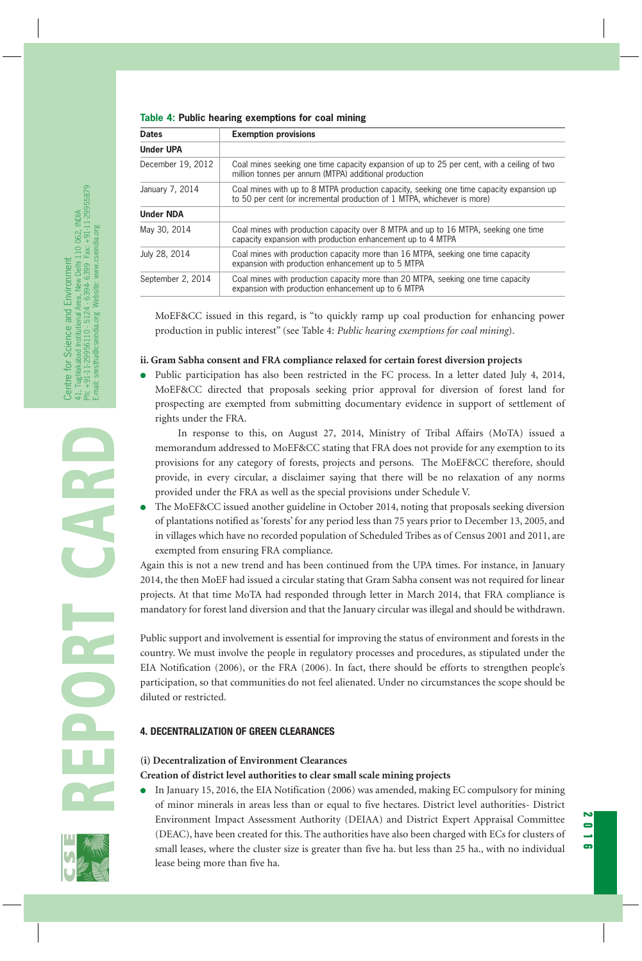**Table 4: Public hearing exemptions for coal mining**

| <b>Dates</b>      | <b>Exemption provisions</b>                                                                                                                                         |  |  |
|-------------------|---------------------------------------------------------------------------------------------------------------------------------------------------------------------|--|--|
| <b>Under UPA</b>  |                                                                                                                                                                     |  |  |
| December 19, 2012 | Coal mines seeking one time capacity expansion of up to 25 per cent, with a ceiling of two<br>million tonnes per annum (MTPA) additional production                 |  |  |
| January 7, 2014   | Coal mines with up to 8 MTPA production capacity, seeking one time capacity expansion up<br>to 50 per cent (or incremental production of 1 MTPA, whichever is more) |  |  |
| <b>Under NDA</b>  |                                                                                                                                                                     |  |  |
| May 30, 2014      | Coal mines with production capacity over 8 MTPA and up to 16 MTPA, seeking one time<br>capacity expansion with production enhancement up to 4 MTPA                  |  |  |
| July 28, 2014     | Coal mines with production capacity more than 16 MTPA, seeking one time capacity<br>expansion with production enhancement up to 5 MTPA                              |  |  |
| September 2, 2014 | Coal mines with production capacity more than 20 MTPA, seeking one time capacity<br>expansion with production enhancement up to 6 MTPA                              |  |  |

MoEF&CC issued in this regard, is "to quickly ramp up coal production for enhancing power production in public interest" (see Table 4: *Public hearing exemptions for coal mining*).

# **ii. Gram Sabha consent and FRA compliance relaxed for certain forest diversion projects**

Public participation has also been restricted in the FC process. In a letter dated July 4, 2014, MoEF&CC directed that proposals seeking prior approval for diversion of forest land for prospecting are exempted from submitting documentary evidence in support of settlement of rights under the FRA.

In response to this, on August 27, 2014, Ministry of Tribal Affairs (MoTA) issued a memorandum addressed to MoEF&CC stating that FRA does not provide for any exemption to its provisions for any category of forests, projects and persons. The MoEF&CC therefore, should provide, in every circular, a disclaimer saying that there will be no relaxation of any norms provided under the FRA as well as the special provisions under Schedule V.

The MoEF&CC issued another guideline in October 2014, noting that proposals seeking diversion of plantations notified as 'forests' for any period less than 75 years prior to December 13, 2005, and in villages which have no recorded population of Scheduled Tribes as of Census 2001 and 2011, are exempted from ensuring FRA compliance.

Again this is not a new trend and has been continued from the UPA times. For instance, in January 2014, the then MoEF had issued a circular stating that Gram Sabha consent was not required for linear projects. At that time MoTA had responded through letter in March 2014, that FRA compliance is mandatory for forest land diversion and that the January circular was illegal and should be withdrawn.

Public support and involvement is essential for improving the status of environment and forests in the country. We must involve the people in regulatory processes and procedures, as stipulated under the EIA Notification (2006), or the FRA (2006). In fact, there should be efforts to strengthen people's participation, so that communities do not feel alienated. Under no circumstances the scope should be diluted or restricted.

# **4. DECENTRALIZATION OF GREEN CLEARANCES**

# **(i) Decentralization of Environment Clearances Creation of district level authorities to clear small scale mining projects**

● In January 15, 2016, the EIA Notification (2006) was amended, making EC compulsory for mining of minor minerals in areas less than or equal to five hectares. District level authorities- District Environment Impact Assessment Authority (DEIAA) and District Expert Appraisal Committee (DEAC), have been created for this. The authorities have also been charged with ECs for clusters of small leases, where the cluster size is greater than five ha. but less than 25 ha., with no individual lease being more than five ha.

**2016**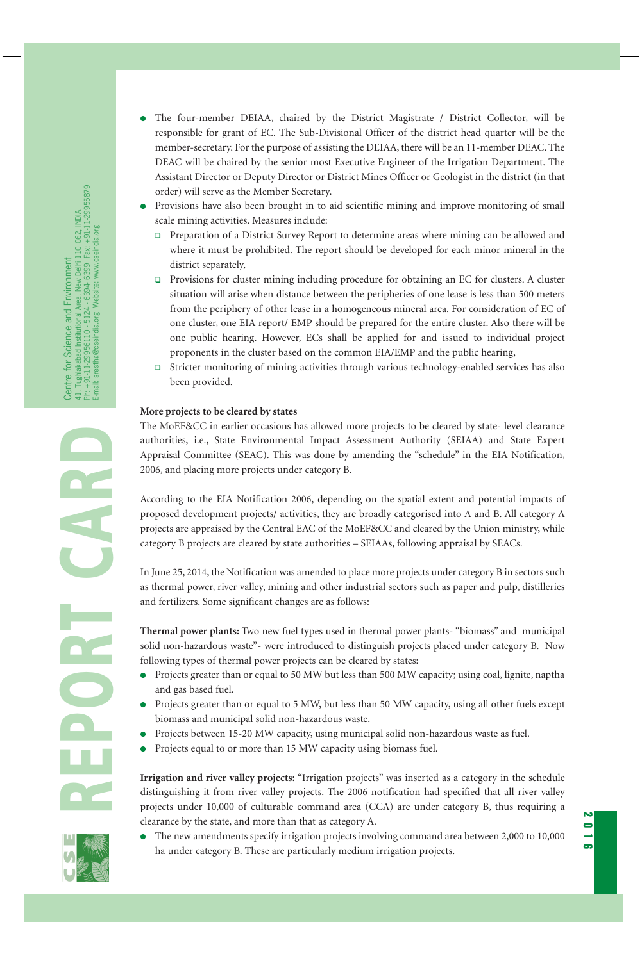- The four-member DEIAA, chaired by the District Magistrate / District Collector, will be responsible for grant of EC. The Sub-Divisional Officer of the district head quarter will be the member-secretary. For the purpose of assisting the DEIAA, there will be an 11-member DEAC. The DEAC will be chaired by the senior most Executive Engineer of the Irrigation Department. The Assistant Director or Deputy Director or District Mines Officer or Geologist in the district (in that order) will serve as the Member Secretary.
- Provisions have also been brought in to aid scientific mining and improve monitoring of small scale mining activities. Measures include:
	- ❑ Preparation of a District Survey Report to determine areas where mining can be allowed and where it must be prohibited. The report should be developed for each minor mineral in the district separately,
	- ❑ Provisions for cluster mining including procedure for obtaining an EC for clusters. A cluster situation will arise when distance between the peripheries of one lease is less than 500 meters from the periphery of other lease in a homogeneous mineral area. For consideration of EC of one cluster, one EIA report/ EMP should be prepared for the entire cluster. Also there will be one public hearing. However, ECs shall be applied for and issued to individual project proponents in the cluster based on the common EIA/EMP and the public hearing,
	- ❑ Stricter monitoring of mining activities through various technology-enabled services has also been provided.

#### **More projects to be cleared by states**

The MoEF&CC in earlier occasions has allowed more projects to be cleared by state- level clearance authorities, i.e., State Environmental Impact Assessment Authority (SEIAA) and State Expert Appraisal Committee (SEAC). This was done by amending the "schedule" in the EIA Notification, 2006, and placing more projects under category B.

According to the EIA Notification 2006, depending on the spatial extent and potential impacts of proposed development projects/ activities, they are broadly categorised into A and B. All category A projects are appraised by the Central EAC of the MoEF&CC and cleared by the Union ministry, while category B projects are cleared by state authorities – SEIAAs, following appraisal by SEACs.

In June 25, 2014, the Notification was amended to place more projects under category B in sectors such as thermal power, river valley, mining and other industrial sectors such as paper and pulp, distilleries and fertilizers. Some significant changes are as follows:

**Thermal power plants:** Two new fuel types used in thermal power plants- "biomass" and municipal solid non-hazardous waste"- were introduced to distinguish projects placed under category B. Now following types of thermal power projects can be cleared by states:

- Projects greater than or equal to 50 MW but less than 500 MW capacity; using coal, lignite, naptha and gas based fuel.
- Projects greater than or equal to 5 MW, but less than 50 MW capacity, using all other fuels except biomass and municipal solid non-hazardous waste.
- Projects between 15-20 MW capacity, using municipal solid non-hazardous waste as fuel.
- Projects equal to or more than 15 MW capacity using biomass fuel.

**Irrigation and river valley projects:** "Irrigation projects" was inserted as a category in the schedule distinguishing it from river valley projects. The 2006 notification had specified that all river valley projects under 10,000 of culturable command area (CCA) are under category B, thus requiring a clearance by the state, and more than that as category A.

The new amendments specify irrigation projects involving command area between 2,000 to 10,000 ha under category B. These are particularly medium irrigation projects.

**2016**

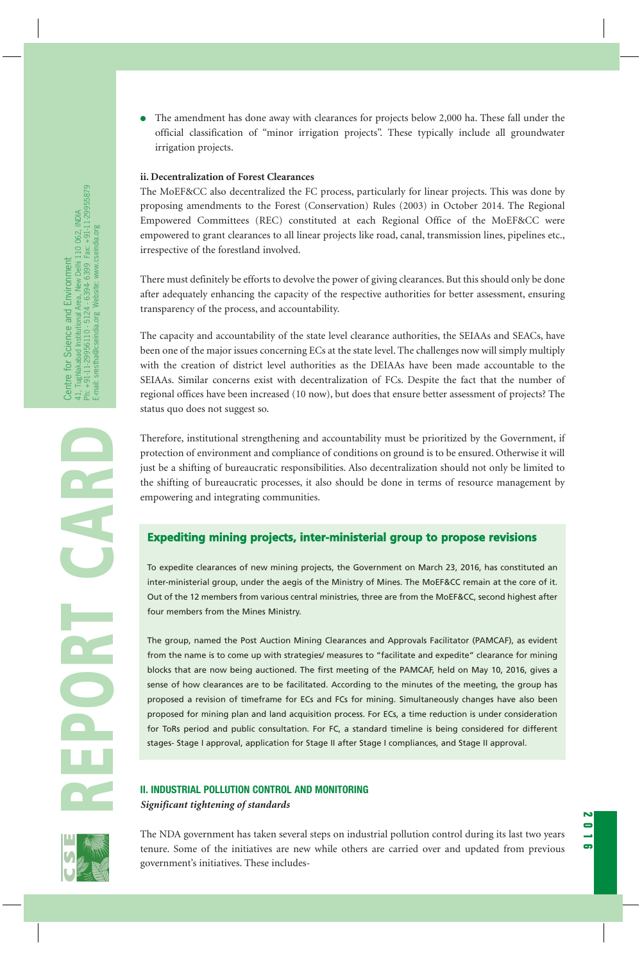● The amendment has done away with clearances for projects below 2,000 ha. These fall under the official classification of "minor irrigation projects". These typically include all groundwater irrigation projects.

#### **ii. Decentralization of Forest Clearances**

The MoEF&CC also decentralized the FC process, particularly for linear projects. This was done by proposing amendments to the Forest (Conservation) Rules (2003) in October 2014. The Regional Empowered Committees (REC) constituted at each Regional Office of the MoEF&CC were empowered to grant clearances to all linear projects like road, canal, transmission lines, pipelines etc., irrespective of the forestland involved.

There must definitely be efforts to devolve the power of giving clearances. But this should only be done after adequately enhancing the capacity of the respective authorities for better assessment, ensuring transparency of the process, and accountability.

The capacity and accountability of the state level clearance authorities, the SEIAAs and SEACs, have been one of the major issues concerning ECs at the state level. The challenges now will simply multiply with the creation of district level authorities as the DEIAAs have been made accountable to the SEIAAs. Similar concerns exist with decentralization of FCs. Despite the fact that the number of regional offices have been increased (10 now), but does that ensure better assessment of projects? The status quo does not suggest so.

Therefore, institutional strengthening and accountability must be prioritized by the Government, if protection of environment and compliance of conditions on ground is to be ensured. Otherwise it will just be a shifting of bureaucratic responsibilities. Also decentralization should not only be limited to the shifting of bureaucratic processes, it also should be done in terms of resource management by empowering and integrating communities.

# **Expediting mining projects, inter-ministerial group to propose revisions**

To expedite clearances of new mining projects, the Government on March 23, 2016, has constituted an inter-ministerial group, under the aegis of the Ministry of Mines. The MoEF&CC remain at the core of it. Out of the 12 members from various central ministries, three are from the MoEF&CC, second highest after four members from the Mines Ministry.

The group, named the Post Auction Mining Clearances and Approvals Facilitator (PAMCAF), as evident from the name is to come up with strategies/ measures to "facilitate and expedite" clearance for mining blocks that are now being auctioned. The first meeting of the PAMCAF, held on May 10, 2016, gives a sense of how clearances are to be facilitated. According to the minutes of the meeting, the group has proposed a revision of timeframe for ECs and FCs for mining. Simultaneously changes have also been proposed for mining plan and land acquisition process. For ECs, a time reduction is under consideration for ToRs period and public consultation. For FC, a standard timeline is being considered for different stages- Stage I approval, application for Stage II after Stage I compliances, and Stage II approval.

# **II. INDUSTRIAL POLLUTION CONTROL AND MONITORING**  *Significant tightening of standards*

The NDA government has taken several steps on industrial pollution control during its last two years tenure. Some of the initiatives are new while others are carried over and updated from previous government's initiatives. These includes**2016**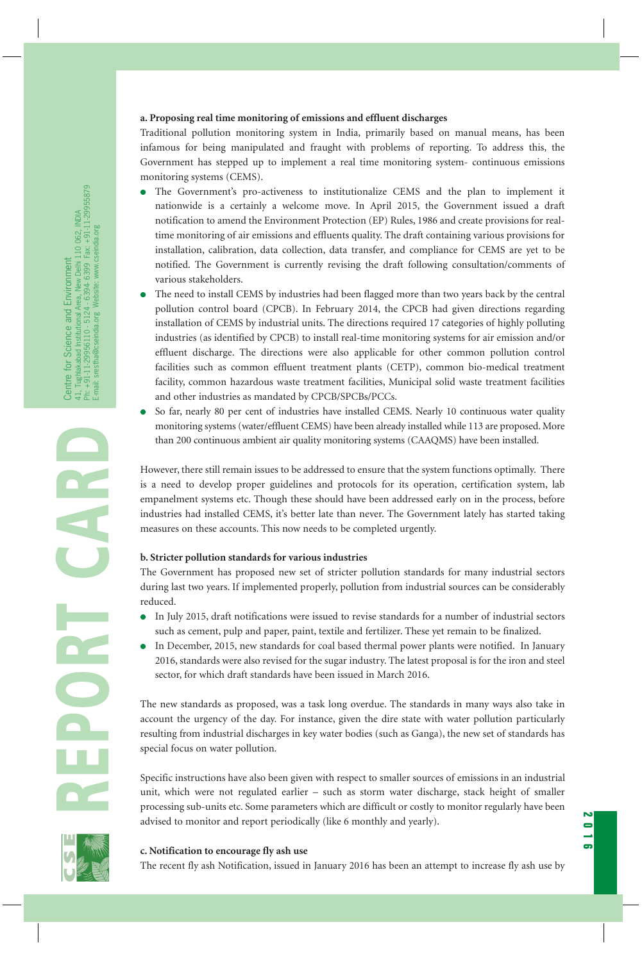#### **a. Proposing real time monitoring of emissions and effluent discharges**

Traditional pollution monitoring system in India, primarily based on manual means, has been infamous for being manipulated and fraught with problems of reporting. To address this, the Government has stepped up to implement a real time monitoring system- continuous emissions monitoring systems (CEMS).

- The Government's pro-activeness to institutionalize CEMS and the plan to implement it nationwide is a certainly a welcome move. In April 2015, the Government issued a draft notification to amend the Environment Protection (EP) Rules, 1986 and create provisions for realtime monitoring of air emissions and effluents quality. The draft containing various provisions for installation, calibration, data collection, data transfer, and compliance for CEMS are yet to be notified. The Government is currently revising the draft following consultation/comments of various stakeholders.
- The need to install CEMS by industries had been flagged more than two years back by the central pollution control board (CPCB). In February 2014, the CPCB had given directions regarding installation of CEMS by industrial units. The directions required 17 categories of highly polluting industries (as identified by CPCB) to install real-time monitoring systems for air emission and/or effluent discharge. The directions were also applicable for other common pollution control facilities such as common effluent treatment plants (CETP), common bio-medical treatment facility, common hazardous waste treatment facilities, Municipal solid waste treatment facilities and other industries as mandated by CPCB/SPCBs/PCCs.
- So far, nearly 80 per cent of industries have installed CEMS. Nearly 10 continuous water quality monitoring systems (water/effluent CEMS) have been already installed while 113 are proposed. More than 200 continuous ambient air quality monitoring systems (CAAQMS) have been installed.

However, there still remain issues to be addressed to ensure that the system functions optimally. There is a need to develop proper guidelines and protocols for its operation, certification system, lab empanelment systems etc. Though these should have been addressed early on in the process, before industries had installed CEMS, it's better late than never. The Government lately has started taking measures on these accounts. This now needs to be completed urgently.

#### **b. Stricter pollution standards for various industries**

The Government has proposed new set of stricter pollution standards for many industrial sectors during last two years. If implemented properly, pollution from industrial sources can be considerably reduced.

- In July 2015, draft notifications were issued to revise standards for a number of industrial sectors such as cement, pulp and paper, paint, textile and fertilizer. These yet remain to be finalized.
- In December, 2015, new standards for coal based thermal power plants were notified. In January 2016, standards were also revised for the sugar industry. The latest proposal is for the iron and steel sector, for which draft standards have been issued in March 2016.

The new standards as proposed, was a task long overdue. The standards in many ways also take in account the urgency of the day. For instance, given the dire state with water pollution particularly resulting from industrial discharges in key water bodies (such as Ganga), the new set of standards has special focus on water pollution.

Specific instructions have also been given with respect to smaller sources of emissions in an industrial unit, which were not regulated earlier – such as storm water discharge, stack height of smaller processing sub-units etc. Some parameters which are difficult or costly to monitor regularly have been advised to monitor and report periodically (like 6 monthly and yearly).

**2016**

#### **c. Notification to encourage fly ash use**

The recent fly ash Notification, issued in January 2016 has been an attempt to increase fly ash use by



**REPORT CARD**

R

U,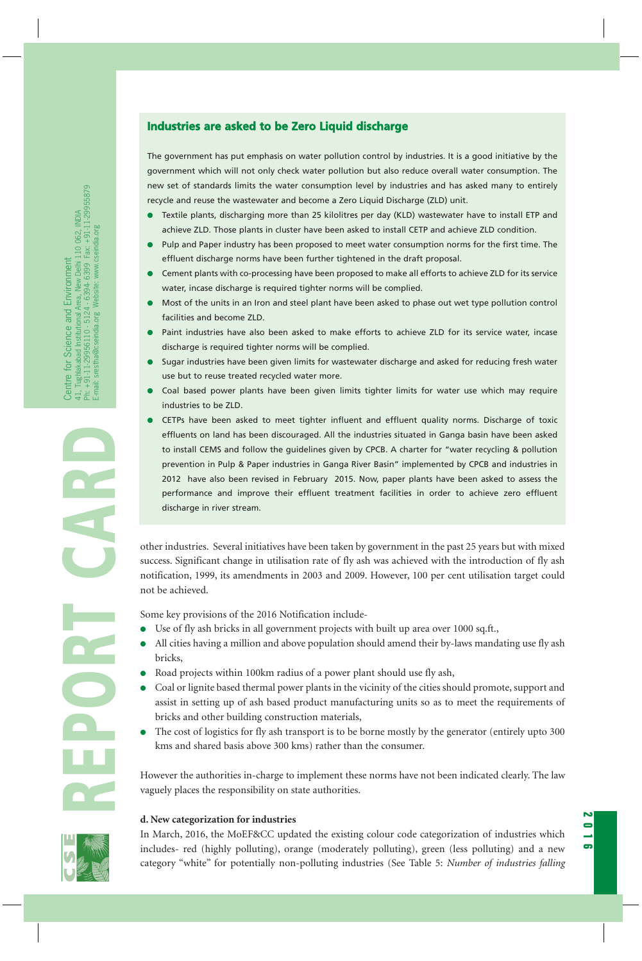# **Industries are asked to be Zero Liquid discharge**

The government has put emphasis on water pollution control by industries. It is a good initiative by the government which will not only check water pollution but also reduce overall water consumption. The new set of standards limits the water consumption level by industries and has asked many to entirely recycle and reuse the wastewater and become a Zero Liquid Discharge (ZLD) unit.

- Textile plants, discharging more than 25 kilolitres per day (KLD) wastewater have to install ETP and achieve ZLD. Those plants in cluster have been asked to install CETP and achieve ZLD condition.
- Pulp and Paper industry has been proposed to meet water consumption norms for the first time. The effluent discharge norms have been further tightened in the draft proposal.
- Cement plants with co-processing have been proposed to make all efforts to achieve ZLD for its service water, incase discharge is required tighter norms will be complied.
- Most of the units in an Iron and steel plant have been asked to phase out wet type pollution control facilities and become ZLD.
- Paint industries have also been asked to make efforts to achieve ZLD for its service water, incase discharge is required tighter norms will be complied.
- Sugar industries have been given limits for wastewater discharge and asked for reducing fresh water use but to reuse treated recycled water more.
- Coal based power plants have been given limits tighter limits for water use which may require industries to be ZLD.
- **REPORT CARD ON THE CARD ON THE INTERFERT STURE IS UNLEAR TO THE TO THE TO THAT IS THE TO THAT IS THE TO THAT IS DET A DRIFF OF THE SURFACT ON THE PROPERTIES IN THE DRIFF OF THE SURFACT ON THE PROPERTIES IN THE PAST AND TH** CETPs have been asked to meet tighter influent and effluent quality norms. Discharge of toxic effluents on land has been discouraged. All the industries situated in Ganga basin have been asked to install CEMS and follow the guidelines given by CPCB. A charter for "water recycling & pollution prevention in Pulp & Paper industries in Ganga River Basin" implemented by CPCB and industries in 2012 have also been revised in February 2015. Now, paper plants have been asked to assess the performance and improve their effluent treatment facilities in order to achieve zero effluent discharge in river stream.

success. Significant change in utilisation rate of fly ash was achieved with the introduction of fly ash notification, 1999, its amendments in 2003 and 2009. However, 100 per cent utilisation target could not be achieved.

Some key provisions of the 2016 Notification include-

- Use of fly ash bricks in all government projects with built up area over 1000 sq.ft.,
- All cities having a million and above population should amend their by-laws mandating use fly ash bricks,
- Road projects within 100km radius of a power plant should use fly ash,
- Coal or lignite based thermal power plants in the vicinity of the cities should promote, support and assist in setting up of ash based product manufacturing units so as to meet the requirements of bricks and other building construction materials,
- The cost of logistics for fly ash transport is to be borne mostly by the generator (entirely upto 300) kms and shared basis above 300 kms) rather than the consumer.

However the authorities in-charge to implement these norms have not been indicated clearly. The law vaguely places the responsibility on state authorities.

#### **d. New categorization for industries**

In March, 2016, the MoEF&CC updated the existing colour code categorization of industries which includes- red (highly polluting), orange (moderately polluting), green (less polluting) and a new category "white" for potentially non-polluting industries (See Table 5: *Number of industries falling*

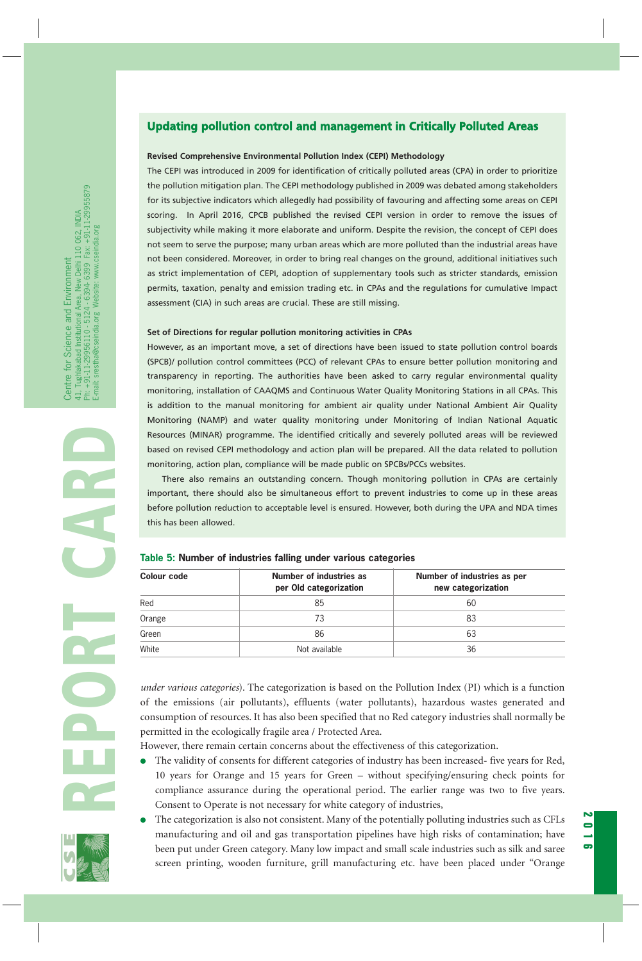# **Updating pollution control and management in Critically Polluted Areas**

#### **Revised Comprehensive Environmental Pollution Index (CEPI) Methodology**

The CEPI was introduced in 2009 for identification of critically polluted areas (CPA) in order to prioritize the pollution mitigation plan. The CEPI methodology published in 2009 was debated among stakeholders for its subjective indicators which allegedly had possibility of favouring and affecting some areas on CEPI scoring. In April 2016, CPCB published the revised CEPI version in order to remove the issues of subjectivity while making it more elaborate and uniform. Despite the revision, the concept of CEPI does not seem to serve the purpose; many urban areas which are more polluted than the industrial areas have not been considered. Moreover, in order to bring real changes on the ground, additional initiatives such as strict implementation of CEPI, adoption of supplementary tools such as stricter standards, emission permits, taxation, penalty and emission trading etc. in CPAs and the regulations for cumulative Impact assessment (CIA) in such areas are crucial. These are still missing.

#### **Set of Directions for regular pollution monitoring activities in CPAs**

However, as an important move, a set of directions have been issued to state pollution control boards (SPCB)/ pollution control committees (PCC) of relevant CPAs to ensure better pollution monitoring and transparency in reporting. The authorities have been asked to carry regular environmental quality monitoring, installation of CAAQMS and Continuous Water Quality Monitoring Stations in all CPAs. This is addition to the manual monitoring for ambient air quality under National Ambient Air Quality Monitoring (NAMP) and water quality monitoring under Monitoring of Indian National Aquatic Resources (MINAR) programme. The identified critically and severely polluted areas will be reviewed based on revised CEPI methodology and action plan will be prepared. All the data related to pollution monitoring, action plan, compliance will be made public on SPCBs/PCCs websites.

#### **Table 5: Number of industries falling under various categories**

- The validity of consents for different categories of industry has been increased- five years for Red, 10 years for Orange and 15 years for Green – without specifying/ensuring check points for compliance assurance during the operational period. The earlier range was two to five years. Consent to Operate is not necessary for white category of industries,
- The categorization is also not consistent. Many of the potentially polluting industries such as CFLs manufacturing and oil and gas transportation pipelines have high risks of contamination; have been put under Green category. Many low impact and small scale industries such as silk and saree screen printing, wooden furniture, grill manufacturing etc. have been placed under "Orange

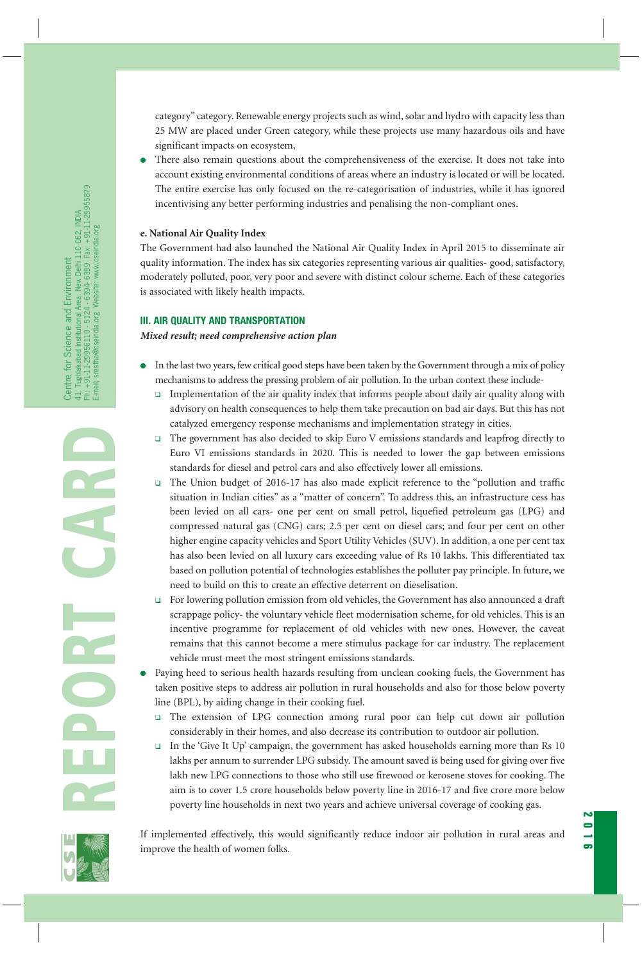category" category. Renewable energy projects such as wind, solar and hydro with capacity less than 25 MW are placed under Green category, while these projects use many hazardous oils and have significant impacts on ecosystem,

There also remain questions about the comprehensiveness of the exercise. It does not take into account existing environmental conditions of areas where an industry is located or will be located. The entire exercise has only focused on the re-categorisation of industries, while it has ignored incentivising any better performing industries and penalising the non-compliant ones.

#### **e. National Air Quality Index**

The Government had also launched the National Air Quality Index in April 2015 to disseminate air quality information. The index has six categories representing various air qualities- good, satisfactory, moderately polluted, poor, very poor and severe with distinct colour scheme. Each of these categories is associated with likely health impacts.

#### **III. AIR QUALITY AND TRANSPORTATION**

*Mixed result; need comprehensive action plan*

- In the last two years, few critical good steps have been taken by the Government through a mix of policy mechanisms to address the pressing problem of air pollution. In the urban context these include-
	- ❑ Implementation of the air quality index that informs people about daily air quality along with advisory on health consequences to help them take precaution on bad air days. But this has not catalyzed emergency response mechanisms and implementation strategy in cities.
	- ❑ The government has also decided to skip Euro V emissions standards and leapfrog directly to Euro VI emissions standards in 2020. This is needed to lower the gap between emissions standards for diesel and petrol cars and also effectively lower all emissions.
	- ❑ The Union budget of 2016-17 has also made explicit reference to the "pollution and traffic situation in Indian cities" as a "matter of concern". To address this, an infrastructure cess has been levied on all cars- one per cent on small petrol, liquefied petroleum gas (LPG) and compressed natural gas (CNG) cars; 2.5 per cent on diesel cars; and four per cent on other higher engine capacity vehicles and Sport Utility Vehicles (SUV). In addition, a one per cent tax has also been levied on all luxury cars exceeding value of Rs 10 lakhs. This differentiated tax based on pollution potential of technologies establishes the polluter pay principle. In future, we need to build on this to create an effective deterrent on dieselisation.
	- ❑ For lowering pollution emission from old vehicles, the Government has also announced a draft scrappage policy- the voluntary vehicle fleet modernisation scheme, for old vehicles. This is an incentive programme for replacement of old vehicles with new ones. However, the caveat remains that this cannot become a mere stimulus package for car industry. The replacement vehicle must meet the most stringent emissions standards.
- Paying heed to serious health hazards resulting from unclean cooking fuels, the Government has taken positive steps to address air pollution in rural households and also for those below poverty line (BPL), by aiding change in their cooking fuel.
	- ❑ The extension of LPG connection among rural poor can help cut down air pollution considerably in their homes, and also decrease its contribution to outdoor air pollution.
	- ❑ In the 'Give It Up' campaign, the government has asked households earning more than Rs 10 lakhs per annum to surrender LPG subsidy. The amount saved is being used for giving over five lakh new LPG connections to those who still use firewood or kerosene stoves for cooking. The aim is to cover 1.5 crore households below poverty line in 2016-17 and five crore more below poverty line households in next two years and achieve universal coverage of cooking gas.

If implemented effectively, this would significantly reduce indoor air pollution in rural areas and improve the health of women folks.

**2016**

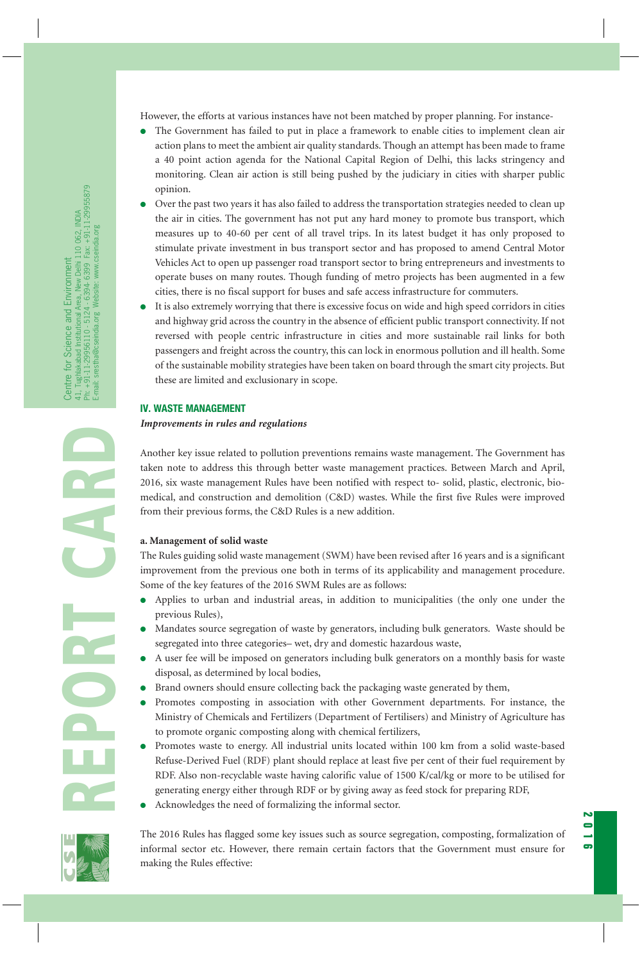However, the efforts at various instances have not been matched by proper planning. For instance-

- The Government has failed to put in place a framework to enable cities to implement clean air action plans to meet the ambient air quality standards. Though an attempt has been made to frame a 40 point action agenda for the National Capital Region of Delhi, this lacks stringency and monitoring. Clean air action is still being pushed by the judiciary in cities with sharper public opinion.
- Over the past two years it has also failed to address the transportation strategies needed to clean up the air in cities. The government has not put any hard money to promote bus transport, which measures up to 40-60 per cent of all travel trips. In its latest budget it has only proposed to stimulate private investment in bus transport sector and has proposed to amend Central Motor Vehicles Act to open up passenger road transport sector to bring entrepreneurs and investments to operate buses on many routes. Though funding of metro projects has been augmented in a few cities, there is no fiscal support for buses and safe access infrastructure for commuters.
- It is also extremely worrying that there is excessive focus on wide and high speed corridors in cities and highway grid across the country in the absence of efficient public transport connectivity. If not reversed with people centric infrastructure in cities and more sustainable rail links for both passengers and freight across the country, this can lock in enormous pollution and ill health. Some of the sustainable mobility strategies have been taken on board through the smart city projects. But these are limited and exclusionary in scope.

#### **IV. WASTE MANAGEMENT**

*Improvements in rules and regulations*

Another key issue related to pollution preventions remains waste management. The Government has taken note to address this through better waste management practices. Between March and April, 2016, six waste management Rules have been notified with respect to- solid, plastic, electronic, biomedical, and construction and demolition (C&D) wastes. While the first five Rules were improved from their previous forms, the C&D Rules is a new addition.

#### **a. Management of solid waste**

The Rules guiding solid waste management (SWM) have been revised after 16 years and is a significant improvement from the previous one both in terms of its applicability and management procedure. Some of the key features of the 2016 SWM Rules are as follows:

- Applies to urban and industrial areas, in addition to municipalities (the only one under the previous Rules),
- Mandates source segregation of waste by generators, including bulk generators. Waste should be segregated into three categories– wet, dry and domestic hazardous waste,
- A user fee will be imposed on generators including bulk generators on a monthly basis for waste disposal, as determined by local bodies,
- Brand owners should ensure collecting back the packaging waste generated by them,
- Promotes composting in association with other Government departments. For instance, the Ministry of Chemicals and Fertilizers (Department of Fertilisers) and Ministry of Agriculture has to promote organic composting along with chemical fertilizers,
- Promotes waste to energy. All industrial units located within 100 km from a solid waste-based Refuse-Derived Fuel (RDF) plant should replace at least five per cent of their fuel requirement by RDF. Also non-recyclable waste having calorific value of 1500 K/cal/kg or more to be utilised for generating energy either through RDF or by giving away as feed stock for preparing RDF,
- Acknowledges the need of formalizing the informal sector.

The 2016 Rules has flagged some key issues such as source segregation, composting, formalization of informal sector etc. However, there remain certain factors that the Government must ensure for making the Rules effective:

**2016**

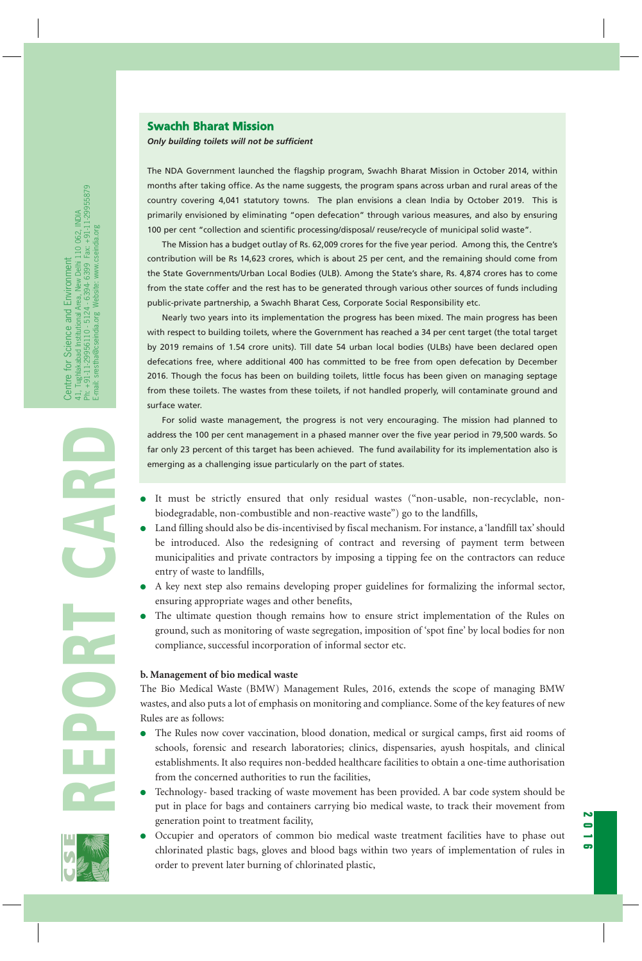#### **Swachh Bharat Mission**

*Only building toilets will not be sufficient*

The NDA Government launched the flagship program, Swachh Bharat Mission in October 2014, within months after taking office. As the name suggests, the program spans across urban and rural areas of the country covering 4,041 statutory towns. The plan envisions a clean India by October 2019. This is primarily envisioned by eliminating "open defecation" through various measures, and also by ensuring 100 per cent "collection and scientific processing/disposal/ reuse/recycle of municipal solid waste".

The Mission has a budget outlay of Rs. 62,009 crores for the five year period. Among this, the Centre's contribution will be Rs 14,623 crores, which is about 25 per cent, and the remaining should come from the State Governments/Urban Local Bodies (ULB). Among the State's share, Rs. 4,874 crores has to come from the state coffer and the rest has to be generated through various other sources of funds including public-private partnership, a Swachh Bharat Cess, Corporate Social Responsibility etc.

Nearly two years into its implementation the progress has been mixed. The main progress has been with respect to building toilets, where the Government has reached a 34 per cent target (the total target by 2019 remains of 1.54 crore units). Till date 54 urban local bodies (ULBs) have been declared open defecations free, where additional 400 has committed to be free from open defecation by December 2016. Though the focus has been on building toilets, little focus has been given on managing septage from these toilets. The wastes from these toilets, if not handled properly, will contaminate ground and surface water.

For solid waste management, the progress is not very encouraging. The mission had planned to address the 100 per cent management in a phased manner over the five year period in 79,500 wards. So far only 23 percent of this target has been achieved. The fund availability for its implementation also is emerging as a challenging issue particularly on the part of states.

- biodegradable, non-combustible and non-reactive waste") go to the landfills,
- **REPORT CARD** It must be strictly ensured that only residual wastes ("non-usable, non-recyclable, non-● Land filling should also be dis-incentivised by fiscal mechanism. For instance, a 'landfill tax' should be introduced. Also the redesigning of contract and reversing of payment term between municipalities and private contractors by imposing a tipping fee on the contractors can reduce entry of waste to landfills,
	- A key next step also remains developing proper guidelines for formalizing the informal sector, ensuring appropriate wages and other benefits,
	- The ultimate question though remains how to ensure strict implementation of the Rules on ground, such as monitoring of waste segregation, imposition of 'spot fine' by local bodies for non compliance, successful incorporation of informal sector etc.

#### **b. Management of bio medical waste**

The Bio Medical Waste (BMW) Management Rules, 2016, extends the scope of managing BMW wastes, and also puts a lot of emphasis on monitoring and compliance. Some of the key features of new Rules are as follows:

- The Rules now cover vaccination, blood donation, medical or surgical camps, first aid rooms of schools, forensic and research laboratories; clinics, dispensaries, ayush hospitals, and clinical establishments. It also requires non-bedded healthcare facilities to obtain a one-time authorisation from the concerned authorities to run the facilities,
- Technology- based tracking of waste movement has been provided. A bar code system should be put in place for bags and containers carrying bio medical waste, to track their movement from generation point to treatment facility,
- Occupier and operators of common bio medical waste treatment facilities have to phase out chlorinated plastic bags, gloves and blood bags within two years of implementation of rules in order to prevent later burning of chlorinated plastic,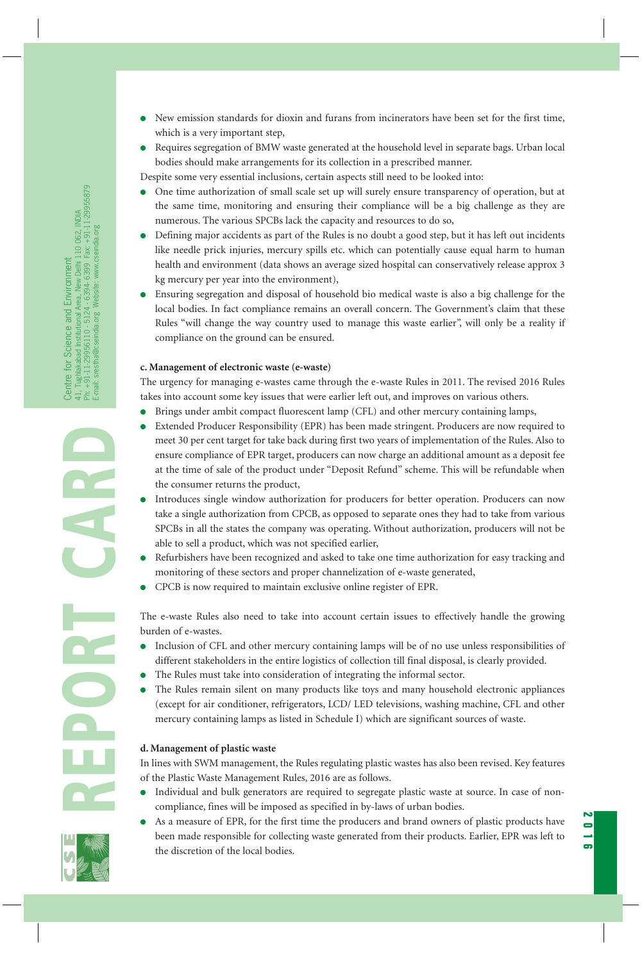- New emission standards for dioxin and furans from incinerators have been set for the first time, which is a very important step,
- Requires segregation of BMW waste generated at the household level in separate bags. Urban local bodies should make arrangements for its collection in a prescribed manner.

Despite some very essential inclusions, certain aspects still need to be looked into:

- One time authorization of small scale set up will surely ensure transparency of operation, but at the same time, monitoring and ensuring their compliance will be a big challenge as they are numerous. The various SPCBs lack the capacity and resources to do so,
- Defining major accidents as part of the Rules is no doubt a good step, but it has left out incidents like needle prick injuries, mercury spills etc. which can potentially cause equal harm to human health and environment (data shows an average sized hospital can conservatively release approx 3 kg mercury per year into the environment),
- Ensuring segregation and disposal of household bio medical waste is also a big challenge for the local bodies. In fact compliance remains an overall concern. The Government's claim that these Rules "will change the way country used to manage this waste earlier", will only be a reality if compliance on the ground can be ensured.

#### **c. Management of electronic waste (e-waste)**

The urgency for managing e-wastes came through the e-waste Rules in 2011. The revised 2016 Rules takes into account some key issues that were earlier left out, and improves on various others.

- Brings under ambit compact fluorescent lamp (CFL) and other mercury containing lamps,
- Extended Producer Responsibility (EPR) has been made stringent. Producers are now required to meet 30 per cent target for take back during first two years of implementation of the Rules. Also to ensure compliance of EPR target, producers can now charge an additional amount as a deposit fee at the time of sale of the product under "Deposit Refund" scheme. This will be refundable when the consumer returns the product,
- Introduces single window authorization for producers for better operation. Producers can now take a single authorization from CPCB, as opposed to separate ones they had to take from various SPCBs in all the states the company was operating. Without authorization, producers will not be able to sell a product, which was not specified earlier,
- Refurbishers have been recognized and asked to take one time authorization for easy tracking and monitoring of these sectors and proper channelization of e-waste generated,
- CPCB is now required to maintain exclusive online register of EPR.

The e-waste Rules also need to take into account certain issues to effectively handle the growing burden of e-wastes.

- Inclusion of CFL and other mercury containing lamps will be of no use unless responsibilities of different stakeholders in the entire logistics of collection till final disposal, is clearly provided.
- The Rules must take into consideration of integrating the informal sector.
- The Rules remain silent on many products like toys and many household electronic appliances (except for air conditioner, refrigerators, LCD/ LED televisions, washing machine, CFL and other mercury containing lamps as listed in Schedule I) which are significant sources of waste.

# **d. Management of plastic waste**

In lines with SWM management, the Rules regulating plastic wastes has also been revised. Key features of the Plastic Waste Management Rules, 2016 are as follows.

- Individual and bulk generators are required to segregate plastic waste at source. In case of noncompliance, fines will be imposed as specified in by-laws of urban bodies.
- As a measure of EPR, for the first time the producers and brand owners of plastic products have been made responsible for collecting waste generated from their products. Earlier, EPR was left to the discretion of the local bodies.

**2016**

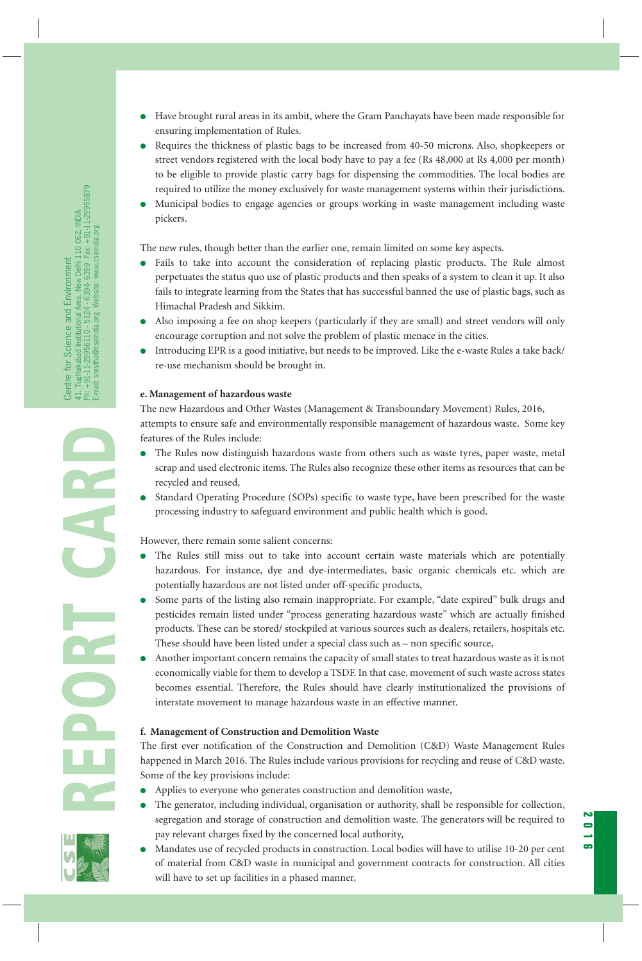- Have brought rural areas in its ambit, where the Gram Panchayats have been made responsible for ensuring implementation of Rules.
- Requires the thickness of plastic bags to be increased from 40-50 microns. Also, shopkeepers or street vendors registered with the local body have to pay a fee (Rs 48,000 at Rs 4,000 per month) to be eligible to provide plastic carry bags for dispensing the commodities. The local bodies are required to utilize the money exclusively for waste management systems within their jurisdictions.
- Municipal bodies to engage agencies or groups working in waste management including waste pickers.

The new rules, though better than the earlier one, remain limited on some key aspects.

- Fails to take into account the consideration of replacing plastic products. The Rule almost perpetuates the status quo use of plastic products and then speaks of a system to clean it up. It also fails to integrate learning from the States that has successful banned the use of plastic bags, such as Himachal Pradesh and Sikkim.
- Also imposing a fee on shop keepers (particularly if they are small) and street vendors will only encourage corruption and not solve the problem of plastic menace in the cities.
- Introducing EPR is a good initiative, but needs to be improved. Like the e-waste Rules a take back/ re-use mechanism should be brought in.

# **e. Management of hazardous waste**

The new Hazardous and Other Wastes (Management & Transboundary Movement) Rules, 2016, attempts to ensure safe and environmentally responsible management of hazardous waste. Some key features of the Rules include:

- The Rules now distinguish hazardous waste from others such as waste tyres, paper waste, metal scrap and used electronic items. The Rules also recognize these other items as resources that can be recycled and reused,
- Standard Operating Procedure (SOPs) specific to waste type, have been prescribed for the waste processing industry to safeguard environment and public health which is good.

However, there remain some salient concerns:

- The Rules still miss out to take into account certain waste materials which are potentially hazardous. For instance, dye and dye-intermediates, basic organic chemicals etc. which are potentially hazardous are not listed under off-specific products,
- Some parts of the listing also remain inappropriate. For example, "date expired" bulk drugs and pesticides remain listed under "process generating hazardous waste" which are actually finished products. These can be stored/ stockpiled at various sources such as dealers, retailers, hospitals etc. These should have been listed under a special class such as – non specific source,
- Another important concern remains the capacity of small states to treat hazardous waste as it is not economically viable for them to develop a TSDF. In that case, movement of such waste across states becomes essential. Therefore, the Rules should have clearly institutionalized the provisions of interstate movement to manage hazardous waste in an effective manner.

# **f. Management of Construction and Demolition Waste**

The first ever notification of the Construction and Demolition (C&D) Waste Management Rules happened in March 2016. The Rules include various provisions for recycling and reuse of C&D waste. Some of the key provisions include:

- Applies to everyone who generates construction and demolition waste,
- The generator, including individual, organisation or authority, shall be responsible for collection, segregation and storage of construction and demolition waste. The generators will be required to pay relevant charges fixed by the concerned local authority,

**2016**

● Mandates use of recycled products in construction. Local bodies will have to utilise 10-20 per cent of material from C&D waste in municipal and government contracts for construction. All cities will have to set up facilities in a phased manner,

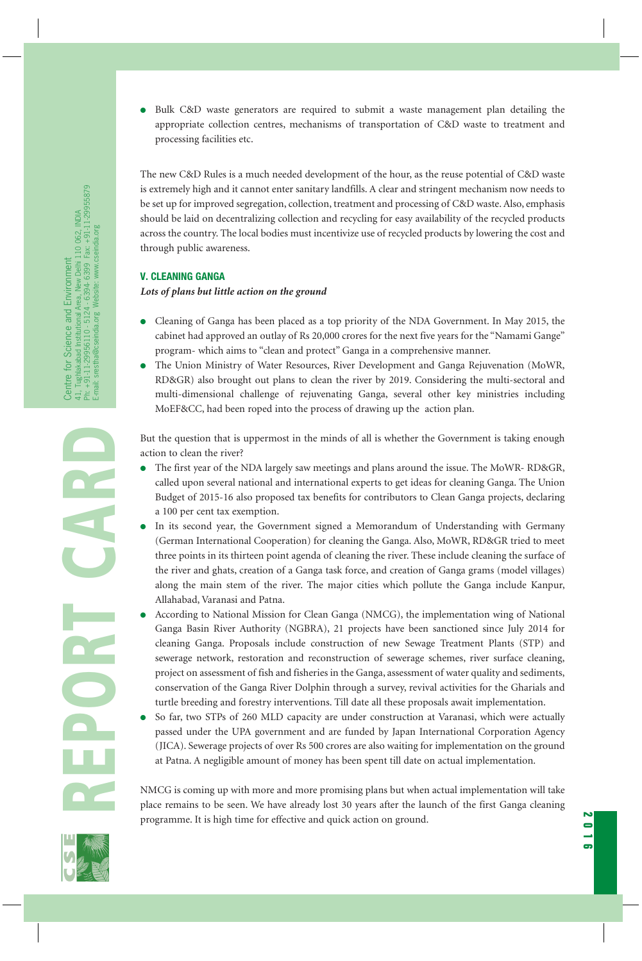● Bulk C&D waste generators are required to submit a waste management plan detailing the appropriate collection centres, mechanisms of transportation of C&D waste to treatment and processing facilities etc.

The new C&D Rules is a much needed development of the hour, as the reuse potential of C&D waste is extremely high and it cannot enter sanitary landfills. A clear and stringent mechanism now needs to be set up for improved segregation, collection, treatment and processing of C&D waste. Also, emphasis should be laid on decentralizing collection and recycling for easy availability of the recycled products across the country. The local bodies must incentivize use of recycled products by lowering the cost and through public awareness.

# **V. CLEANING GANGA**

#### *Lots of plans but little action on the ground*

- Cleaning of Ganga has been placed as a top priority of the NDA Government. In May 2015, the cabinet had approved an outlay of Rs 20,000 crores for the next five years for the "Namami Gange" program- which aims to "clean and protect" Ganga in a comprehensive manner.
- The Union Ministry of Water Resources, River Development and Ganga Rejuvenation (MoWR, RD&GR) also brought out plans to clean the river by 2019. Considering the multi-sectoral and multi-dimensional challenge of rejuvenating Ganga, several other key ministries including MoEF&CC, had been roped into the process of drawing up the action plan.

But the question that is uppermost in the minds of all is whether the Government is taking enough action to clean the river?

- The first year of the NDA largely saw meetings and plans around the issue. The MoWR- RD&GR, called upon several national and international experts to get ideas for cleaning Ganga. The Union Budget of 2015-16 also proposed tax benefits for contributors to Clean Ganga projects, declaring a 100 per cent tax exemption.
- In its second year, the Government signed a Memorandum of Understanding with Germany (German International Cooperation) for cleaning the Ganga. Also, MoWR, RD&GR tried to meet three points in its thirteen point agenda of cleaning the river. These include cleaning the surface of the river and ghats, creation of a Ganga task force, and creation of Ganga grams (model villages) along the main stem of the river. The major cities which pollute the Ganga include Kanpur, Allahabad, Varanasi and Patna.
- According to National Mission for Clean Ganga (NMCG), the implementation wing of National Ganga Basin River Authority (NGBRA), 21 projects have been sanctioned since July 2014 for cleaning Ganga. Proposals include construction of new Sewage Treatment Plants (STP) and sewerage network, restoration and reconstruction of sewerage schemes, river surface cleaning, project on assessment of fish and fisheries in the Ganga, assessment of water quality and sediments, conservation of the Ganga River Dolphin through a survey, revival activities for the Gharials and turtle breeding and forestry interventions. Till date all these proposals await implementation.
- So far, two STPs of 260 MLD capacity are under construction at Varanasi, which were actually passed under the UPA government and are funded by Japan International Corporation Agency (JICA). Sewerage projects of over Rs 500 crores are also waiting for implementation on the ground at Patna. A negligible amount of money has been spent till date on actual implementation.

NMCG is coming up with more and more promising plans but when actual implementation will take place remains to be seen. We have already lost 30 years after the launch of the first Ganga cleaning programme. It is high time for effective and quick action on ground.

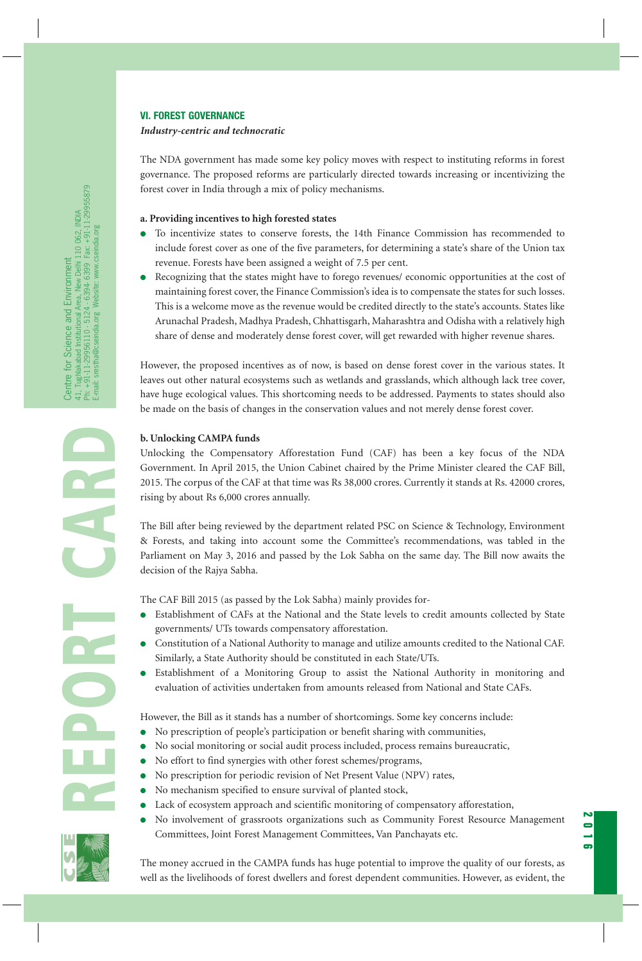#### **VI. FOREST GOVERNANCE**

#### *Industry-centric and technocratic*

The NDA government has made some key policy moves with respect to instituting reforms in forest governance. The proposed reforms are particularly directed towards increasing or incentivizing the forest cover in India through a mix of policy mechanisms.

#### **a. Providing incentives to high forested states**

- To incentivize states to conserve forests, the 14th Finance Commission has recommended to include forest cover as one of the five parameters, for determining a state's share of the Union tax revenue. Forests have been assigned a weight of 7.5 per cent.
- Recognizing that the states might have to forego revenues/ economic opportunities at the cost of maintaining forest cover, the Finance Commission's idea is to compensate the states for such losses. This is a welcome move as the revenue would be credited directly to the state's accounts. States like Arunachal Pradesh, Madhya Pradesh, Chhattisgarh, Maharashtra and Odisha with a relatively high share of dense and moderately dense forest cover, will get rewarded with higher revenue shares.

However, the proposed incentives as of now, is based on dense forest cover in the various states. It leaves out other natural ecosystems such as wetlands and grasslands, which although lack tree cover, have huge ecological values. This shortcoming needs to be addressed. Payments to states should also be made on the basis of changes in the conservation values and not merely dense forest cover.

# **b. Unlocking CAMPA funds**

Unlocking the Compensatory Afforestation Fund (CAF) has been a key focus of the NDA Government. In April 2015, the Union Cabinet chaired by the Prime Minister cleared the CAF Bill, 2015. The corpus of the CAF at that time was Rs 38,000 crores. Currently it stands at Rs. 42000 crores, rising by about Rs 6,000 crores annually.

The Bill after being reviewed by the department related PSC on Science & Technology, Environment & Forests, and taking into account some the Committee's recommendations, was tabled in the Parliament on May 3, 2016 and passed by the Lok Sabha on the same day. The Bill now awaits the decision of the Rajya Sabha.

The CAF Bill 2015 (as passed by the Lok Sabha) mainly provides for-

- Establishment of CAFs at the National and the State levels to credit amounts collected by State governments/ UTs towards compensatory afforestation.
- Constitution of a National Authority to manage and utilize amounts credited to the National CAF. Similarly, a State Authority should be constituted in each State/UTs.
- Establishment of a Monitoring Group to assist the National Authority in monitoring and evaluation of activities undertaken from amounts released from National and State CAFs.

However, the Bill as it stands has a number of shortcomings. Some key concerns include:

- No prescription of people's participation or benefit sharing with communities,
- No social monitoring or social audit process included, process remains bureaucratic,
- No effort to find synergies with other forest schemes/programs,
- No prescription for periodic revision of Net Present Value (NPV) rates,
- No mechanism specified to ensure survival of planted stock,
- Lack of ecosystem approach and scientific monitoring of compensatory afforestation,
- No involvement of grassroots organizations such as Community Forest Resource Management Committees, Joint Forest Management Committees, Van Panchayats etc.

**2016**



**REPORT CARD**

The money accrued in the CAMPA funds has huge potential to improve the quality of our forests, as well as the livelihoods of forest dwellers and forest dependent communities. However, as evident, the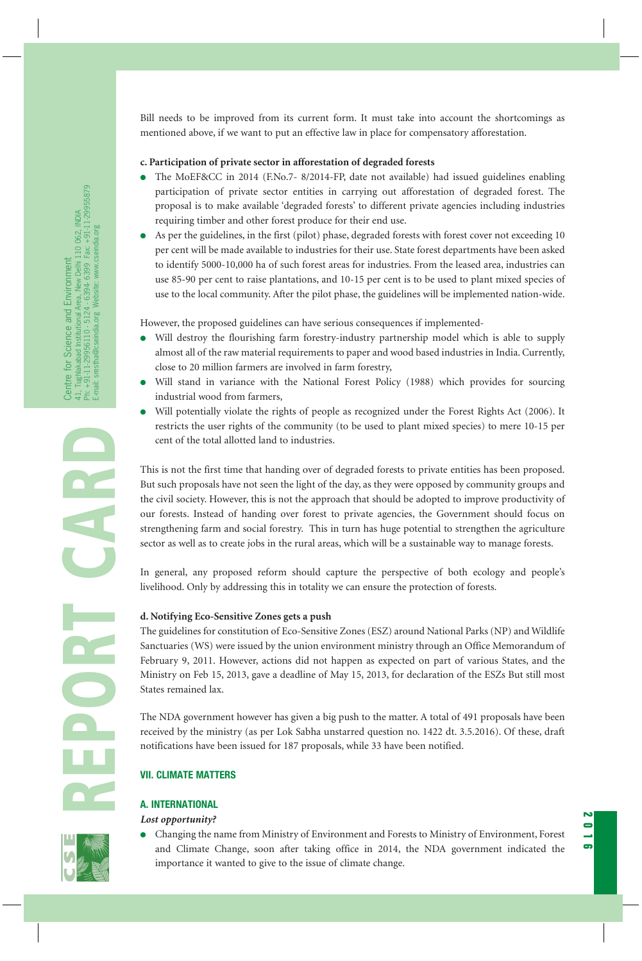Bill needs to be improved from its current form. It must take into account the shortcomings as mentioned above, if we want to put an effective law in place for compensatory afforestation.

# **c. Participation of private sector in afforestation of degraded forests**

- The MoEF&CC in 2014 (F.No.7- 8/2014-FP, date not available) had issued guidelines enabling participation of private sector entities in carrying out afforestation of degraded forest. The proposal is to make available 'degraded forests' to different private agencies including industries requiring timber and other forest produce for their end use.
- As per the guidelines, in the first (pilot) phase, degraded forests with forest cover not exceeding 10 per cent will be made available to industries for their use. State forest departments have been asked to identify 5000-10,000 ha of such forest areas for industries. From the leased area, industries can use 85-90 per cent to raise plantations, and 10-15 per cent is to be used to plant mixed species of use to the local community. After the pilot phase, the guidelines will be implemented nation-wide.

However, the proposed guidelines can have serious consequences if implemented-

- Will destroy the flourishing farm forestry-industry partnership model which is able to supply almost all of the raw material requirements to paper and wood based industries in India. Currently, close to 20 million farmers are involved in farm forestry,
- Will stand in variance with the National Forest Policy (1988) which provides for sourcing industrial wood from farmers,
- Will potentially violate the rights of people as recognized under the Forest Rights Act (2006). It restricts the user rights of the community (to be used to plant mixed species) to mere 10-15 per cent of the total allotted land to industries.

This is not the first time that handing over of degraded forests to private entities has been proposed. But such proposals have not seen the light of the day, as they were opposed by community groups and the civil society. However, this is not the approach that should be adopted to improve productivity of our forests. Instead of handing over forest to private agencies, the Government should focus on strengthening farm and social forestry. This in turn has huge potential to strengthen the agriculture sector as well as to create jobs in the rural areas, which will be a sustainable way to manage forests.

In general, any proposed reform should capture the perspective of both ecology and people's livelihood. Only by addressing this in totality we can ensure the protection of forests.

# **d. Notifying Eco-Sensitive Zones gets a push**

The guidelines for constitution of Eco-Sensitive Zones (ESZ) around National Parks (NP) and Wildlife Sanctuaries (WS) were issued by the union environment ministry through an Office Memorandum of February 9, 2011. However, actions did not happen as expected on part of various States, and the Ministry on Feb 15, 2013, gave a deadline of May 15, 2013, for declaration of the ESZs But still most States remained lax.

The NDA government however has given a big push to the matter. A total of 491 proposals have been received by the ministry (as per Lok Sabha unstarred question no. 1422 dt. 3.5.2016). Of these, draft notifications have been issued for 187 proposals, while 33 have been notified.

# **VII. CLIMATE MATTERS**

# **A. INTERNATIONAL**

# *Lost opportunity?*

● Changing the name from Ministry of Environment and Forests to Ministry of Environment, Forest and Climate Change, soon after taking office in 2014, the NDA government indicated the importance it wanted to give to the issue of climate change.